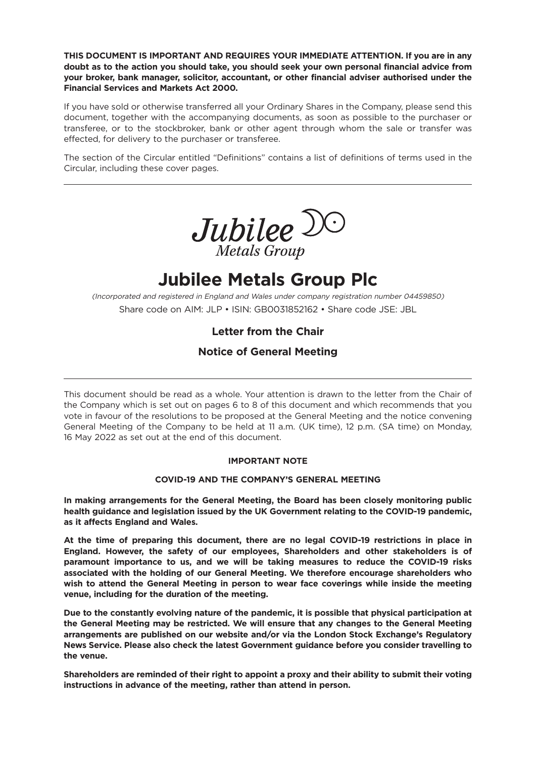**THIS DOCUMENT IS IMPORTANT AND REQUIRES YOUR IMMEDIATE ATTENTION. If you are in any doubt as to the action you should take, you should seek your own personal financial advice from your broker, bank manager, solicitor, accountant, or other financial adviser authorised under the Financial Services and Markets Act 2000.**

If you have sold or otherwise transferred all your Ordinary Shares in the Company, please send this document, together with the accompanying documents, as soon as possible to the purchaser or transferee, or to the stockbroker, bank or other agent through whom the sale or transfer was effected, for delivery to the purchaser or transferee.

The section of the Circular entitled "Definitions" contains a list of definitions of terms used in the Circular, including these cover pages.



# **Jubilee Metals Group Plc**

(Incorporated and registered in England and Wales under company registration number 04459850) Share code on AIM: JLP • ISIN: GB0031852162 • Share code JSE: JBL

# **Letter from the Chair**

# **Notice of General Meeting**

This document should be read as a whole. Your attention is drawn to the letter from the Chair of the Company which is set out on pages 6 to 8 of this document and which recommends that you vote in favour of the resolutions to be proposed at the General Meeting and the notice convening General Meeting of the Company to be held at 11 a.m. (UK time), 12 p.m. (SA time) on Monday, 16 May 2022 as set out at the end of this document.

# **IMPORTANT NOTE**

# **COVID-19 AND THE COMPANY'S GENERAL MEETING**

**In making arrangements for the General Meeting, the Board has been closely monitoring public health guidance and legislation issued by the UK Government relating to the COVID-19 pandemic, as it affects England and Wales.**

**At the time of preparing this document, there are no legal COVID-19 restrictions in place in England. However, the safety of our employees, Shareholders and other stakeholders is of paramount importance to us, and we will be taking measures to reduce the COVID-19 risks associated with the holding of our General Meeting. We therefore encourage shareholders who wish to attend the General Meeting in person to wear face coverings while inside the meeting venue, including for the duration of the meeting.**

**Due to the constantly evolving nature of the pandemic, it is possible that physical participation at the General Meeting may be restricted. We will ensure that any changes to the General Meeting arrangements are published on our website and/or via the London Stock Exchange's Regulatory News Service. Please also check the latest Government guidance before you consider travelling to the venue.**

**Shareholders are reminded of their right to appoint a proxy and their ability to submit their voting instructions in advance of the meeting, rather than attend in person.**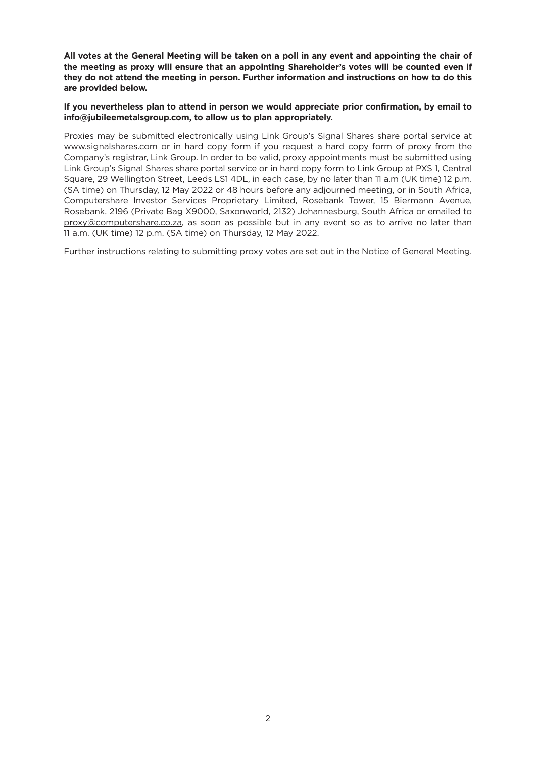All votes at the General Meeting will be taken on a poll in any event and appointing the chair of **the meeting as proxy will ensure that an appointing Shareholder's votes will be counted even if they do not attend the meeting in person. Further information and instructions on how to do this are provided below.**

### **If you nevertheless plan to attend in person we would appreciate prior confirmation, by email to info@jubileemetalsgroup.com, to allow us to plan appropriately.**

Proxies may be submitted electronically using Link Group's Signal Shares share portal service at www.signalshares.com or in hard copy form if you request a hard copy form of proxy from the Company's registrar, Link Group. In order to be valid, proxy appointments must be submitted using Link Group's Signal Shares share portal service or in hard copy form to Link Group at PXS 1, Central Square, 29 Wellington Street, Leeds LS1 4DL, in each case, by no later than 11 a.m (UK time) 12 p.m. (SA time) on Thursday, 12 May 2022 or 48 hours before any adjourned meeting, or in South Africa, Computershare Investor Services Proprietary Limited, Rosebank Tower, 15 Biermann Avenue, Rosebank, 2196 (Private Bag X9000, Saxonworld, 2132) Johannesburg, South Africa or emailed to proxy@computershare.co.za, as soon as possible but in any event so as to arrive no later than 11 a.m. (UK time) 12 p.m. (SA time) on Thursday, 12 May 2022.

Further instructions relating to submitting proxy votes are set out in the Notice of General Meeting.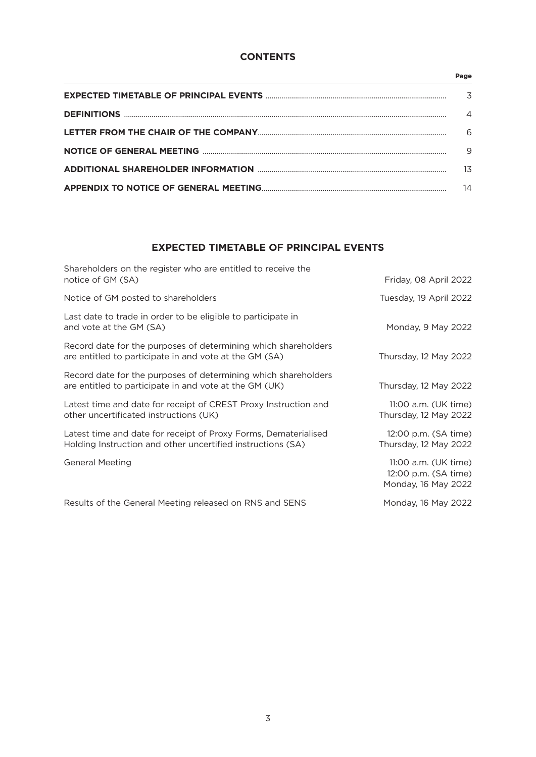# **CONTENTS**

#### **Page**

| $\overline{A}$ |
|----------------|
| 6              |
| 9              |
| 13             |
| 14             |

# **EXPECTED TIMETABLE OF PRINCIPAL EVENTS**

| Shareholders on the register who are entitled to receive the<br>notice of GM (SA)                                              | Friday, 08 April 2022                                               |
|--------------------------------------------------------------------------------------------------------------------------------|---------------------------------------------------------------------|
| Notice of GM posted to shareholders                                                                                            | Tuesday, 19 April 2022                                              |
| Last date to trade in order to be eligible to participate in<br>and vote at the GM (SA)                                        | Monday, 9 May 2022                                                  |
| Record date for the purposes of determining which shareholders<br>are entitled to participate in and vote at the GM (SA)       | Thursday, 12 May 2022                                               |
| Record date for the purposes of determining which shareholders<br>are entitled to participate in and vote at the GM (UK)       | Thursday, 12 May 2022                                               |
| Latest time and date for receipt of CREST Proxy Instruction and<br>other uncertificated instructions (UK)                      | 11:00 a.m. (UK time)<br>Thursday, 12 May 2022                       |
| Latest time and date for receipt of Proxy Forms, Dematerialised<br>Holding Instruction and other uncertified instructions (SA) | 12:00 p.m. (SA time)<br>Thursday, 12 May 2022                       |
| <b>General Meeting</b>                                                                                                         | 11:00 a.m. (UK time)<br>12:00 p.m. (SA time)<br>Monday, 16 May 2022 |
| Results of the General Meeting released on RNS and SENS                                                                        | Monday, 16 May 2022                                                 |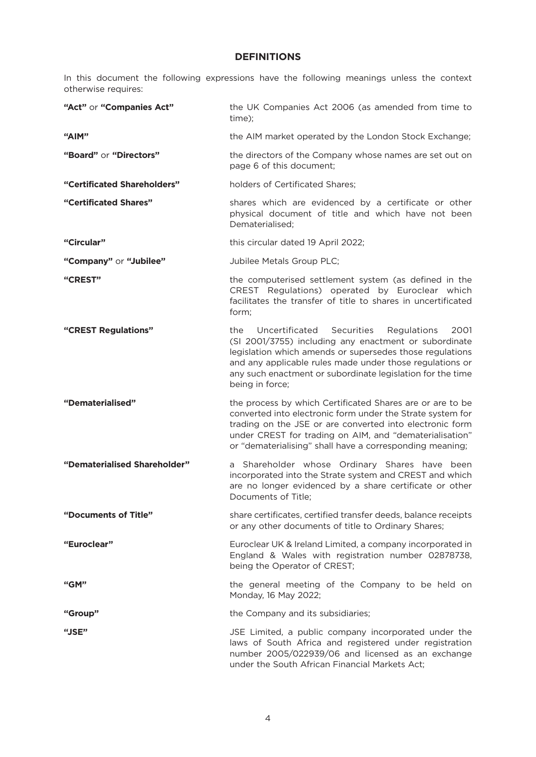# **DEFINITIONS**

In this document the following expressions have the following meanings unless the context otherwise requires:

| "Act" or "Companies Act"     | the UK Companies Act 2006 (as amended from time to<br>time);                                                                                                                                                                                                                                                                 |
|------------------------------|------------------------------------------------------------------------------------------------------------------------------------------------------------------------------------------------------------------------------------------------------------------------------------------------------------------------------|
| "AIM"                        | the AIM market operated by the London Stock Exchange;                                                                                                                                                                                                                                                                        |
| "Board" or "Directors"       | the directors of the Company whose names are set out on<br>page 6 of this document;                                                                                                                                                                                                                                          |
| "Certificated Shareholders"  | holders of Certificated Shares;                                                                                                                                                                                                                                                                                              |
| "Certificated Shares"        | shares which are evidenced by a certificate or other<br>physical document of title and which have not been<br>Dematerialised:                                                                                                                                                                                                |
| "Circular"                   | this circular dated 19 April 2022;                                                                                                                                                                                                                                                                                           |
| "Company" or "Jubilee"       | Jubilee Metals Group PLC;                                                                                                                                                                                                                                                                                                    |
| "CREST"                      | the computerised settlement system (as defined in the<br>CREST Regulations) operated by Euroclear which<br>facilitates the transfer of title to shares in uncertificated<br>form;                                                                                                                                            |
| "CREST Regulations"          | Uncertificated<br>Securities<br>2001<br>the<br>Regulations<br>(SI 2001/3755) including any enactment or subordinate<br>legislation which amends or supersedes those regulations<br>and any applicable rules made under those regulations or<br>any such enactment or subordinate legislation for the time<br>being in force; |
| "Dematerialised"             | the process by which Certificated Shares are or are to be<br>converted into electronic form under the Strate system for<br>trading on the JSE or are converted into electronic form<br>under CREST for trading on AIM, and "dematerialisation"<br>or "dematerialising" shall have a corresponding meaning;                   |
| "Dematerialised Shareholder" | a Shareholder whose Ordinary Shares have been<br>incorporated into the Strate system and CREST and which<br>are no longer evidenced by a share certificate or other<br>Documents of Title;                                                                                                                                   |
| "Documents of Title"         | share certificates, certified transfer deeds, balance receipts<br>or any other documents of title to Ordinary Shares;                                                                                                                                                                                                        |
| "Euroclear"                  | Euroclear UK & Ireland Limited, a company incorporated in<br>England & Wales with registration number 02878738,<br>being the Operator of CREST;                                                                                                                                                                              |
| "GM"                         | the general meeting of the Company to be held on<br>Monday, 16 May 2022;                                                                                                                                                                                                                                                     |
| "Group"                      | the Company and its subsidiaries;                                                                                                                                                                                                                                                                                            |
| "JSE"                        | JSE Limited, a public company incorporated under the<br>laws of South Africa and registered under registration<br>number 2005/022939/06 and licensed as an exchange<br>under the South African Financial Markets Act;                                                                                                        |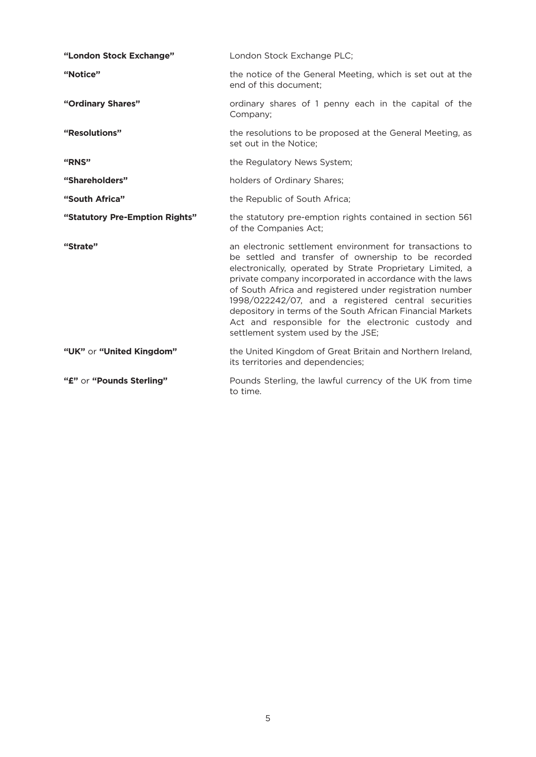| "London Stock Exchange"        | London Stock Exchange PLC;                                                                                                                                                                                                                                                                                                                                                                                                                                                                                            |
|--------------------------------|-----------------------------------------------------------------------------------------------------------------------------------------------------------------------------------------------------------------------------------------------------------------------------------------------------------------------------------------------------------------------------------------------------------------------------------------------------------------------------------------------------------------------|
| "Notice"                       | the notice of the General Meeting, which is set out at the<br>end of this document;                                                                                                                                                                                                                                                                                                                                                                                                                                   |
| "Ordinary Shares"              | ordinary shares of 1 penny each in the capital of the<br>Company;                                                                                                                                                                                                                                                                                                                                                                                                                                                     |
| "Resolutions"                  | the resolutions to be proposed at the General Meeting, as<br>set out in the Notice;                                                                                                                                                                                                                                                                                                                                                                                                                                   |
| "RNS"                          | the Regulatory News System;                                                                                                                                                                                                                                                                                                                                                                                                                                                                                           |
| "Shareholders"                 | holders of Ordinary Shares;                                                                                                                                                                                                                                                                                                                                                                                                                                                                                           |
| "South Africa"                 | the Republic of South Africa;                                                                                                                                                                                                                                                                                                                                                                                                                                                                                         |
| "Statutory Pre-Emption Rights" | the statutory pre-emption rights contained in section 561<br>of the Companies Act;                                                                                                                                                                                                                                                                                                                                                                                                                                    |
| "Strate"                       | an electronic settlement environment for transactions to<br>be settled and transfer of ownership to be recorded<br>electronically, operated by Strate Proprietary Limited, a<br>private company incorporated in accordance with the laws<br>of South Africa and registered under registration number<br>1998/022242/07, and a registered central securities<br>depository in terms of the South African Financial Markets<br>Act and responsible for the electronic custody and<br>settlement system used by the JSE; |
| "UK" or "United Kingdom"       | the United Kingdom of Great Britain and Northern Ireland,<br>its territories and dependencies;                                                                                                                                                                                                                                                                                                                                                                                                                        |
| "£" or "Pounds Sterling"       | Pounds Sterling, the lawful currency of the UK from time<br>to time.                                                                                                                                                                                                                                                                                                                                                                                                                                                  |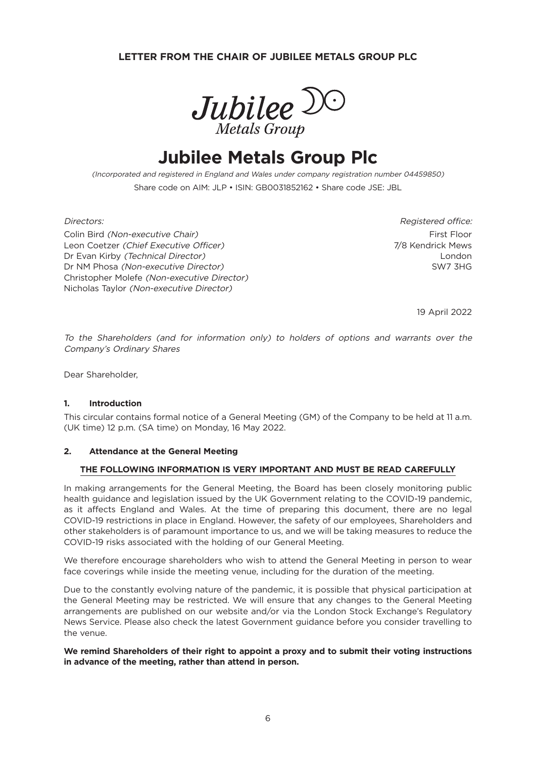# **LETTER FROM THE CHAIR OF JUBILEE METALS GROUP PLC**



# **Jubilee Metals Group Plc**

(Incorporated and registered in England and Wales under company registration number 04459850) Share code on AIM: JLP • ISIN: GB0031852162 • Share code JSE: JBL

Colin Bird *(Non-executive Chair)* First Floor Colin Bird (Non-executive Chair) First Floor Leon Coetzer (Chief Executive Officer) The Communication of the Control of The Mews Dr Evan Kirby (Technical Director) London Dr NM Phosa (Non-executive Director) SW7 3HG Christopher Molefe (Non-executive Director) Nicholas Taylor (Non-executive Director)

Directors: Registered office:

19 April 2022

To the Shareholders (and for information only) to holders of options and warrants over the Company's Ordinary Shares

Dear Shareholder,

#### **1. Introduction**

This circular contains formal notice of a General Meeting (GM) of the Company to be held at 11 a.m. (UK time) 12 p.m. (SA time) on Monday, 16 May 2022.

#### **2. Attendance at the General Meeting**

#### **THE FOLLOWING INFORMATION IS VERY IMPORTANT AND MUST BE READ CAREFULLY**

In making arrangements for the General Meeting, the Board has been closely monitoring public health guidance and legislation issued by the UK Government relating to the COVID-19 pandemic, as it affects England and Wales. At the time of preparing this document, there are no legal COVID-19 restrictions in place in England. However, the safety of our employees, Shareholders and other stakeholders is of paramount importance to us, and we will be taking measures to reduce the COVID-19 risks associated with the holding of our General Meeting.

We therefore encourage shareholders who wish to attend the General Meeting in person to wear face coverings while inside the meeting venue, including for the duration of the meeting.

Due to the constantly evolving nature of the pandemic, it is possible that physical participation at the General Meeting may be restricted. We will ensure that any changes to the General Meeting arrangements are published on our website and/or via the London Stock Exchange's Regulatory News Service. Please also check the latest Government guidance before you consider travelling to the venue.

**We remind Shareholders of their right to appoint a proxy and to submit their voting instructions in advance of the meeting, rather than attend in person.**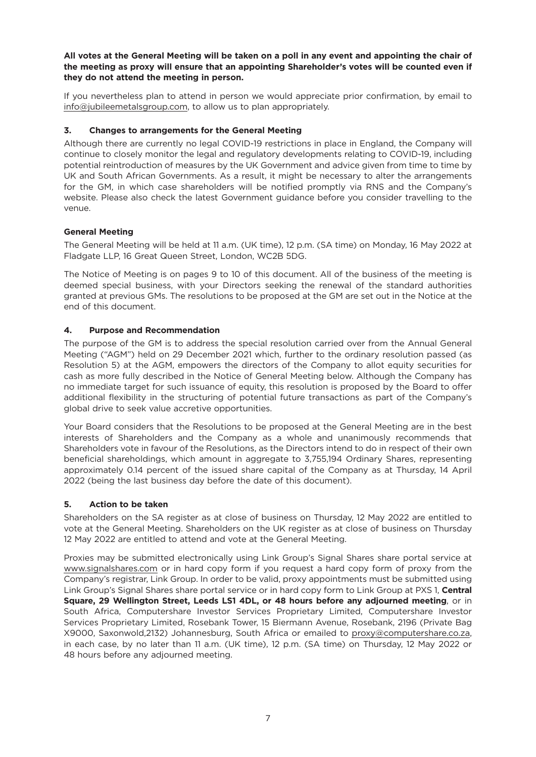All votes at the General Meeting will be taken on a poll in any event and appointing the chair of **the meeting as proxy will ensure that an appointing Shareholder's votes will be counted even if they do not attend the meeting in person.**

If you nevertheless plan to attend in person we would appreciate prior confirmation, by email to info@jubileemetalsgroup.com, to allow us to plan appropriately.

# **3. Changes to arrangements for the General Meeting**

Although there are currently no legal COVID-19 restrictions in place in England, the Company will continue to closely monitor the legal and regulatory developments relating to COVID-19, including potential reintroduction of measures by the UK Government and advice given from time to time by UK and South African Governments. As a result, it might be necessary to alter the arrangements for the GM, in which case shareholders will be notified promptly via RNS and the Company's website. Please also check the latest Government guidance before you consider travelling to the venue.

# **General Meeting**

The General Meeting will be held at 11 a.m. (UK time), 12 p.m. (SA time) on Monday, 16 May 2022 at Fladgate LLP, 16 Great Queen Street, London, WC2B 5DG.

The Notice of Meeting is on pages 9 to 10 of this document. All of the business of the meeting is deemed special business, with your Directors seeking the renewal of the standard authorities granted at previous GMs. The resolutions to be proposed at the GM are set out in the Notice at the end of this document.

# **4. Purpose and Recommendation**

The purpose of the GM is to address the special resolution carried over from the Annual General Meeting ("AGM") held on 29 December 2021 which, further to the ordinary resolution passed (as Resolution 5) at the AGM, empowers the directors of the Company to allot equity securities for cash as more fully described in the Notice of General Meeting below. Although the Company has no immediate target for such issuance of equity, this resolution is proposed by the Board to offer additional flexibility in the structuring of potential future transactions as part of the Company's global drive to seek value accretive opportunities.

Your Board considers that the Resolutions to be proposed at the General Meeting are in the best interests of Shareholders and the Company as a whole and unanimously recommends that Shareholders vote in favour of the Resolutions, as the Directors intend to do in respect of their own beneficial shareholdings, which amount in aggregate to 3,755,194 Ordinary Shares, representing approximately 0.14 percent of the issued share capital of the Company as at Thursday, 14 April 2022 (being the last business day before the date of this document).

# **5. Action to be taken**

Shareholders on the SA register as at close of business on Thursday, 12 May 2022 are entitled to vote at the General Meeting. Shareholders on the UK register as at close of business on Thursday 12 May 2022 are entitled to attend and vote at the General Meeting.

Proxies may be submitted electronically using Link Group's Signal Shares share portal service at www.signalshares.com or in hard copy form if you request a hard copy form of proxy from the Company's registrar, Link Group. In order to be valid, proxy appointments must be submitted using Link Group's Signal Shares share portal service or in hard copy form to Link Group at PXS 1, **Central Square, 29 Wellington Street, Leeds LS1 4DL, or 48 hours before any adjourned meeting**, or in South Africa, Computershare Investor Services Proprietary Limited, Computershare Investor Services Proprietary Limited, Rosebank Tower, 15 Biermann Avenue, Rosebank, 2196 (Private Bag X9000, Saxonwold,2132) Johannesburg, South Africa or emailed to proxy@computershare.co.za, in each case, by no later than 11 a.m. (UK time), 12 p.m. (SA time) on Thursday, 12 May 2022 or 48 hours before any adjourned meeting.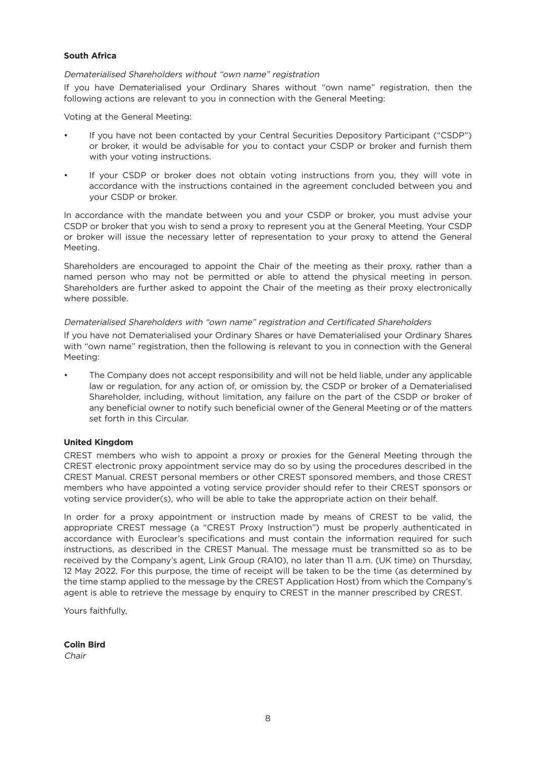### **South Africa**

#### Dematerialised Shareholders without "own name" registration

If you have Dematerialised your Ordinary Shares without "own name" registration, then the following actions are relevant to you in connection with the General Meeting:

Voting at the General Meeting:

- If you have not been contacted by your Central Securities Depository Participant ("CSDP") or broker, it would be advisable for you to contact your CSDP or broker and furnish them with your voting instructions.
- If your CSDP or broker does not obtain voting instructions from you, they will vote in accordance with the instructions contained in the agreement concluded between you and your CSDP or broker.

In accordance with the mandate between you and your CSDP or broker, you must advise your CSDP or broker that you wish to send a proxy to represent you at the General Meeting. Your CSDP or broker will issue the necessary letter of representation to your proxy to attend the General Meeting.

Shareholders are encouraged to appoint the Chair of the meeting as their proxy, rather than a named person who may not be permitted or able to attend the physical meeting in person. Shareholders are further asked to appoint the Chair of the meeting as their proxy electronically where possible.

### Dematerialised Shareholders with "own name" registration and Certificated Shareholders

If you have not Dematerialised your Ordinary Shares or have Dematerialised your Ordinary Shares with "own name" registration, then the following is relevant to you in connection with the General Meeting:

• The Company does not accept responsibility and will not be held liable, under any applicable law or regulation, for any action of, or omission by, the CSDP or broker of a Dematerialised Shareholder, including, without limitation, any failure on the part of the CSDP or broker of any beneficial owner to notify such beneficial owner of the General Meeting or of the matters set forth in this Circular.

# **United Kingdom**

CREST members who wish to appoint a proxy or proxies for the General Meeting through the CREST electronic proxy appointment service may do so by using the procedures described in the CREST Manual. CREST personal members or other CREST sponsored members, and those CREST members who have appointed a voting service provider should refer to their CREST sponsors or voting service provider(s), who will be able to take the appropriate action on their behalf.

In order for a proxy appointment or instruction made by means of CREST to be valid, the appropriate CREST message (a "CREST Proxy Instruction") must be properly authenticated in accordance with Euroclear's specifications and must contain the information required for such instructions, as described in the CREST Manual. The message must be transmitted so as to be received by the Company's agent, Link Group (RA10), no later than 11 a.m. (UK time) on Thursday, 12 May 2022. For this purpose, the time of receipt will be taken to be the time (as determined by the time stamp applied to the message by the CREST Application Host) from which the Company's agent is able to retrieve the message by enquiry to CREST in the manner prescribed by CREST.

Yours faithfully,

**Colin Bird**

Chair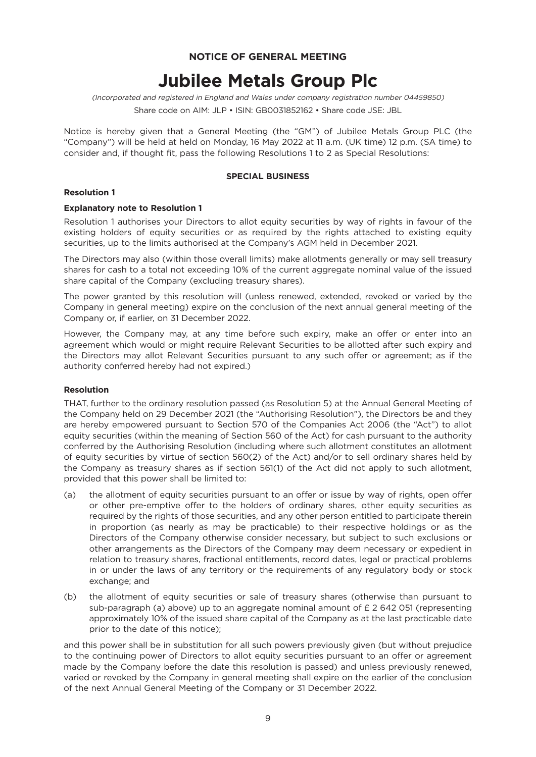# **NOTICE OF GENERAL MEETING**

# **Jubilee Metals Group Plc**

(Incorporated and registered in England and Wales under company registration number 04459850)

Share code on AIM: JLP • ISIN: GB0031852162 • Share code JSE: JBL

Notice is hereby given that a General Meeting (the "GM") of Jubilee Metals Group PLC (the "Company") will be held at held on Monday, 16 May 2022 at 11 a.m. (UK time) 12 p.m. (SA time) to consider and, if thought fit, pass the following Resolutions 1 to 2 as Special Resolutions:

#### **SPECIAL BUSINESS**

#### **Resolution 1**

#### **Explanatory note to Resolution 1**

Resolution 1 authorises your Directors to allot equity securities by way of rights in favour of the existing holders of equity securities or as required by the rights attached to existing equity securities, up to the limits authorised at the Company's AGM held in December 2021.

The Directors may also (within those overall limits) make allotments generally or may sell treasury shares for cash to a total not exceeding 10% of the current aggregate nominal value of the issued share capital of the Company (excluding treasury shares).

The power granted by this resolution will (unless renewed, extended, revoked or varied by the Company in general meeting) expire on the conclusion of the next annual general meeting of the Company or, if earlier, on 31 December 2022.

However, the Company may, at any time before such expiry, make an offer or enter into an agreement which would or might require Relevant Securities to be allotted after such expiry and the Directors may allot Relevant Securities pursuant to any such offer or agreement; as if the authority conferred hereby had not expired.)

#### **Resolution**

THAT, further to the ordinary resolution passed (as Resolution 5) at the Annual General Meeting of the Company held on 29 December 2021 (the "Authorising Resolution"), the Directors be and they are hereby empowered pursuant to Section 570 of the Companies Act 2006 (the "Act") to allot equity securities (within the meaning of Section 560 of the Act) for cash pursuant to the authority conferred by the Authorising Resolution (including where such allotment constitutes an allotment of equity securities by virtue of section 560(2) of the Act) and/or to sell ordinary shares held by the Company as treasury shares as if section 561(1) of the Act did not apply to such allotment, provided that this power shall be limited to:

- (a) the allotment of equity securities pursuant to an offer or issue by way of rights, open offer or other pre-emptive offer to the holders of ordinary shares, other equity securities as required by the rights of those securities, and any other person entitled to participate therein in proportion (as nearly as may be practicable) to their respective holdings or as the Directors of the Company otherwise consider necessary, but subject to such exclusions or other arrangements as the Directors of the Company may deem necessary or expedient in relation to treasury shares, fractional entitlements, record dates, legal or practical problems in or under the laws of any territory or the requirements of any regulatory body or stock exchange; and
- (b) the allotment of equity securities or sale of treasury shares (otherwise than pursuant to sub-paragraph (a) above) up to an aggregate nominal amount of £ 2 642 051 (representing approximately 10% of the issued share capital of the Company as at the last practicable date prior to the date of this notice);

and this power shall be in substitution for all such powers previously given (but without prejudice to the continuing power of Directors to allot equity securities pursuant to an offer or agreement made by the Company before the date this resolution is passed) and unless previously renewed, varied or revoked by the Company in general meeting shall expire on the earlier of the conclusion of the next Annual General Meeting of the Company or 31 December 2022.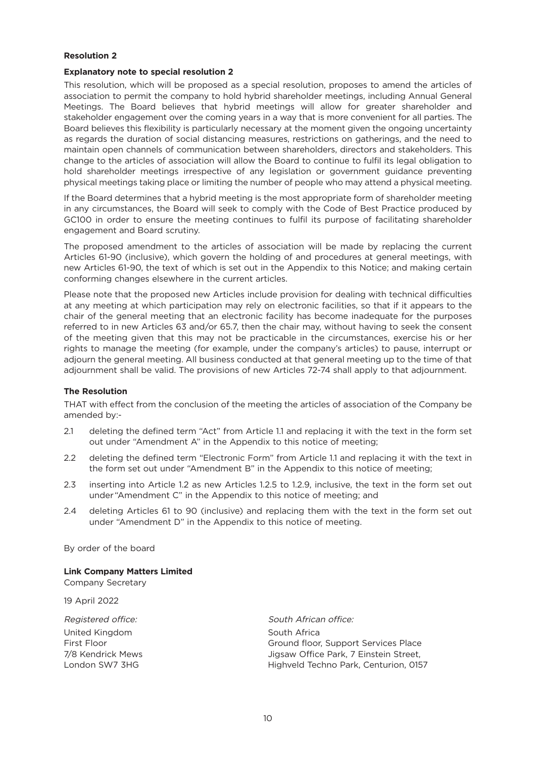### **Resolution 2**

#### **Explanatory note to special resolution 2**

This resolution, which will be proposed as a special resolution, proposes to amend the articles of association to permit the company to hold hybrid shareholder meetings, including Annual General Meetings. The Board believes that hybrid meetings will allow for greater shareholder and stakeholder engagement over the coming years in a way that is more convenient for all parties. The Board believes this flexibility is particularly necessary at the moment given the ongoing uncertainty as regards the duration of social distancing measures, restrictions on gatherings, and the need to maintain open channels of communication between shareholders, directors and stakeholders. This change to the articles of association will allow the Board to continue to fulfil its legal obligation to hold shareholder meetings irrespective of any legislation or government guidance preventing physical meetings taking place or limiting the number of people who may attend a physical meeting.

If the Board determines that a hybrid meeting is the most appropriate form of shareholder meeting in any circumstances, the Board will seek to comply with the Code of Best Practice produced by GC100 in order to ensure the meeting continues to fulfil its purpose of facilitating shareholder engagement and Board scrutiny.

The proposed amendment to the articles of association will be made by replacing the current Articles 61-90 (inclusive), which govern the holding of and procedures at general meetings, with new Articles 61-90, the text of which is set out in the Appendix to this Notice; and making certain conforming changes elsewhere in the current articles.

Please note that the proposed new Articles include provision for dealing with technical difficulties at any meeting at which participation may rely on electronic facilities, so that if it appears to the chair of the general meeting that an electronic facility has become inadequate for the purposes referred to in new Articles 63 and/or 65.7, then the chair may, without having to seek the consent of the meeting given that this may not be practicable in the circumstances, exercise his or her rights to manage the meeting (for example, under the company's articles) to pause, interrupt or adjourn the general meeting. All business conducted at that general meeting up to the time of that adjournment shall be valid. The provisions of new Articles 72-74 shall apply to that adjournment.

#### **The Resolution**

THAT with effect from the conclusion of the meeting the articles of association of the Company be amended by:-

- 2.1 deleting the defined term "Act" from Article 1.1 and replacing it with the text in the form set out under "Amendment A" in the Appendix to this notice of meeting;
- 2.2 deleting the defined term "Electronic Form" from Article 1.1 and replacing it with the text in the form set out under "Amendment B" in the Appendix to this notice of meeting;
- 2.3 inserting into Article 1.2 as new Articles 1.2.5 to 1.2.9, inclusive, the text in the form set out under "Amendment C" in the Appendix to this notice of meeting; and
- 2.4 deleting Articles 61 to 90 (inclusive) and replacing them with the text in the form set out under "Amendment D" in the Appendix to this notice of meeting.

By order of the board

**Link Company Matters Limited**

Company Secretary

19 April 2022

| South African office:                  |
|----------------------------------------|
| South Africa                           |
| Ground floor, Support Services Place   |
| Jigsaw Office Park, 7 Einstein Street, |
| Highveld Techno Park, Centurion, 0157  |
|                                        |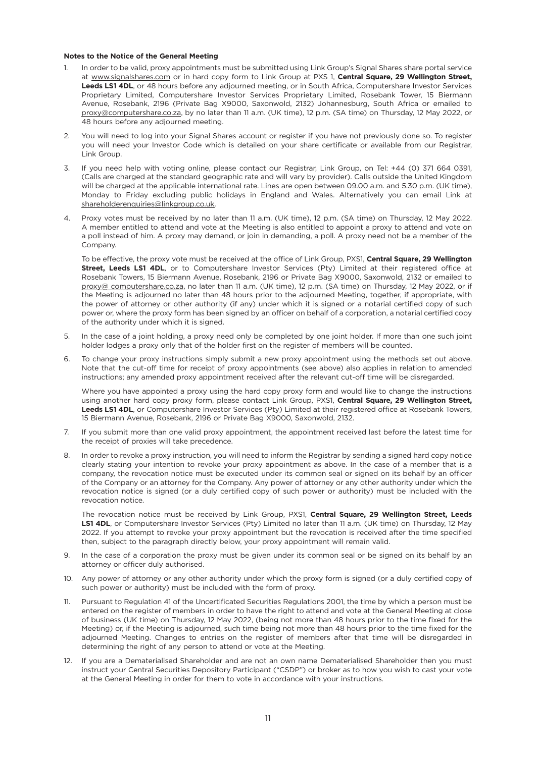#### **Notes to the Notice of the General Meeting**

- In order to be valid, proxy appointments must be submitted using Link Group's Signal Shares share portal service at www.signalshares.com or in hard copy form to Link Group at PXS 1, **Central Square, 29 Wellington Street, Leeds LS1 4DL**, or 48 hours before any adjourned meeting, or in South Africa, Computershare Investor Services Proprietary Limited, Computershare Investor Services Proprietary Limited, Rosebank Tower, 15 Biermann Avenue, Rosebank, 2196 (Private Bag X9000, Saxonwold, 2132) Johannesburg, South Africa or emailed to proxy@computershare.co.za, by no later than 11 a.m. (UK time), 12 p.m. (SA time) on Thursday, 12 May 2022, or 48 hours before any adjourned meeting.
- You will need to log into your Signal Shares account or register if you have not previously done so. To register you will need your Investor Code which is detailed on your share certificate or available from our Registrar, Link Group.
- 3. If you need help with voting online, please contact our Registrar, Link Group, on Tel: +44 (0) 371 664 0391, (Calls are charged at the standard geographic rate and will vary by provider). Calls outside the United Kingdom will be charged at the applicable international rate. Lines are open between 09.00 a.m. and 5.30 p.m. (UK time), Monday to Friday excluding public holidays in England and Wales. Alternatively you can email Link at shareholderenquiries@linkgroup.co.uk.
- 4. Proxy votes must be received by no later than 11 a.m. (UK time), 12 p.m. (SA time) on Thursday, 12 May 2022. A member entitled to attend and vote at the Meeting is also entitled to appoint a proxy to attend and vote on a poll instead of him. A proxy may demand, or join in demanding, a poll. A proxy need not be a member of the Company.

To be effective, the proxy vote must be received at the office of Link Group, PXS1, **Central Square, 29 Wellington Street, Leeds LS1 4DL**, or to Computershare Investor Services (Pty) Limited at their registered office at Rosebank Towers, 15 Biermann Avenue, Rosebank, 2196 or Private Bag X9000, Saxonwold, 2132 or emailed to proxy@ computershare.co.za, no later than 11 a.m. (UK time), 12 p.m. (SA time) on Thursday, 12 May 2022, or if the Meeting is adjourned no later than 48 hours prior to the adjourned Meeting, together, if appropriate, with the power of attorney or other authority (if any) under which it is signed or a notarial certified copy of such power or, where the proxy form has been signed by an officer on behalf of a corporation, a notarial certified copy of the authority under which it is signed.

- 5. In the case of a joint holding, a proxy need only be completed by one joint holder. If more than one such joint holder lodges a proxy only that of the holder first on the register of members will be counted.
- 6. To change your proxy instructions simply submit a new proxy appointment using the methods set out above. Note that the cut-off time for receipt of proxy appointments (see above) also applies in relation to amended instructions; any amended proxy appointment received after the relevant cut-off time will be disregarded.

Where you have appointed a proxy using the hard copy proxy form and would like to change the instructions using another hard copy proxy form, please contact Link Group, PXS1, **Central Square, 29 Wellington Street, Leeds LS1 4DL**, or Computershare Investor Services (Pty) Limited at their registered office at Rosebank Towers, 15 Biermann Avenue, Rosebank, 2196 or Private Bag X9000, Saxonwold, 2132.

- 7. If you submit more than one valid proxy appointment, the appointment received last before the latest time for the receipt of proxies will take precedence.
- 8. In order to revoke a proxy instruction, you will need to inform the Registrar by sending a signed hard copy notice clearly stating your intention to revoke your proxy appointment as above. In the case of a member that is a company, the revocation notice must be executed under its common seal or signed on its behalf by an officer of the Company or an attorney for the Company. Any power of attorney or any other authority under which the revocation notice is signed (or a duly certified copy of such power or authority) must be included with the revocation notice.

The revocation notice must be received by Link Group, PXS1, **Central Square, 29 Wellington Street, Leeds LS1 4DL**, or Computershare Investor Services (Pty) Limited no later than 11 a.m. (UK time) on Thursday, 12 May 2022. If you attempt to revoke your proxy appointment but the revocation is received after the time specified then, subject to the paragraph directly below, your proxy appointment will remain valid.

- 9. In the case of a corporation the proxy must be given under its common seal or be signed on its behalf by an attorney or officer duly authorised.
- 10. Any power of attorney or any other authority under which the proxy form is signed (or a duly certified copy of such power or authority) must be included with the form of proxy.
- 11. Pursuant to Regulation 41 of the Uncertificated Securities Regulations 2001, the time by which a person must be entered on the register of members in order to have the right to attend and vote at the General Meeting at close of business (UK time) on Thursday, 12 May 2022, (being not more than 48 hours prior to the time fixed for the Meeting) or, if the Meeting is adjourned, such time being not more than 48 hours prior to the time fixed for the adjourned Meeting. Changes to entries on the register of members after that time will be disregarded in determining the right of any person to attend or vote at the Meeting.
- 12. If you are a Dematerialised Shareholder and are not an own name Dematerialised Shareholder then you must instruct your Central Securities Depository Participant ("CSDP") or broker as to how you wish to cast your vote at the General Meeting in order for them to vote in accordance with your instructions.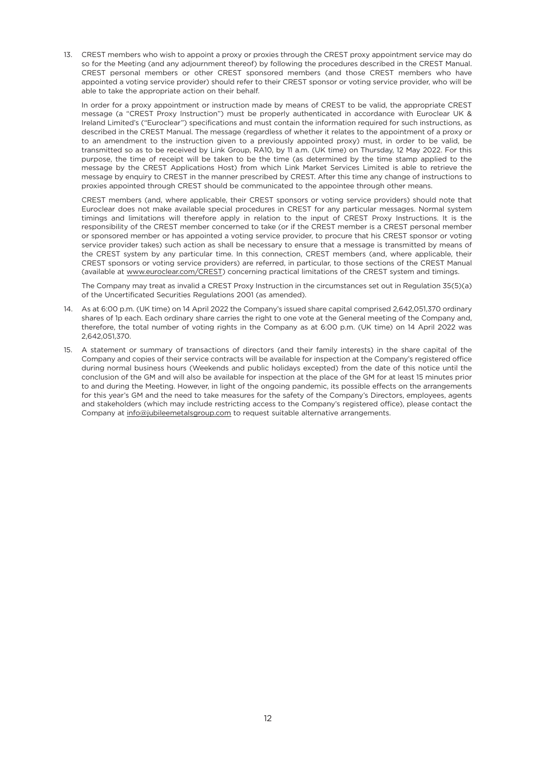13. CREST members who wish to appoint a proxy or proxies through the CREST proxy appointment service may do so for the Meeting (and any adjournment thereof) by following the procedures described in the CREST Manual. CREST personal members or other CREST sponsored members (and those CREST members who have appointed a voting service provider) should refer to their CREST sponsor or voting service provider, who will be able to take the appropriate action on their behalf.

In order for a proxy appointment or instruction made by means of CREST to be valid, the appropriate CREST message (a "CREST Proxy Instruction") must be properly authenticated in accordance with Euroclear UK & Ireland Limited's ("Euroclear") specifications and must contain the information required for such instructions, as described in the CREST Manual. The message (regardless of whether it relates to the appointment of a proxy or to an amendment to the instruction given to a previously appointed proxy) must, in order to be valid, be transmitted so as to be received by Link Group, RA10, by 11 a.m. (UK time) on Thursday, 12 May 2022. For this purpose, the time of receipt will be taken to be the time (as determined by the time stamp applied to the message by the CREST Applications Host) from which Link Market Services Limited is able to retrieve the message by enquiry to CREST in the manner prescribed by CREST. After this time any change of instructions to proxies appointed through CREST should be communicated to the appointee through other means.

CREST members (and, where applicable, their CREST sponsors or voting service providers) should note that Euroclear does not make available special procedures in CREST for any particular messages. Normal system timings and limitations will therefore apply in relation to the input of CREST Proxy Instructions. It is the responsibility of the CREST member concerned to take (or if the CREST member is a CREST personal member or sponsored member or has appointed a voting service provider, to procure that his CREST sponsor or voting service provider takes) such action as shall be necessary to ensure that a message is transmitted by means of the CREST system by any particular time. In this connection, CREST members (and, where applicable, their CREST sponsors or voting service providers) are referred, in particular, to those sections of the CREST Manual (available at www.euroclear.com/CREST) concerning practical limitations of the CREST system and timings.

The Company may treat as invalid a CREST Proxy Instruction in the circumstances set out in Regulation 35(5)(a) of the Uncertificated Securities Regulations 2001 (as amended).

- 14. As at 6:00 p.m. (UK time) on 14 April 2022 the Company's issued share capital comprised 2,642,051,370 ordinary shares of 1p each. Each ordinary share carries the right to one vote at the General meeting of the Company and, therefore, the total number of voting rights in the Company as at 6:00 p.m. (UK time) on 14 April 2022 was 2,642,051,370.
- 15. A statement or summary of transactions of directors (and their family interests) in the share capital of the Company and copies of their service contracts will be available for inspection at the Company's registered office during normal business hours (Weekends and public holidays excepted) from the date of this notice until the conclusion of the GM and will also be available for inspection at the place of the GM for at least 15 minutes prior to and during the Meeting. However, in light of the ongoing pandemic, its possible effects on the arrangements for this year's GM and the need to take measures for the safety of the Company's Directors, employees, agents and stakeholders (which may include restricting access to the Company's registered office), please contact the Company at info@jubileemetalsgroup.com to request suitable alternative arrangements.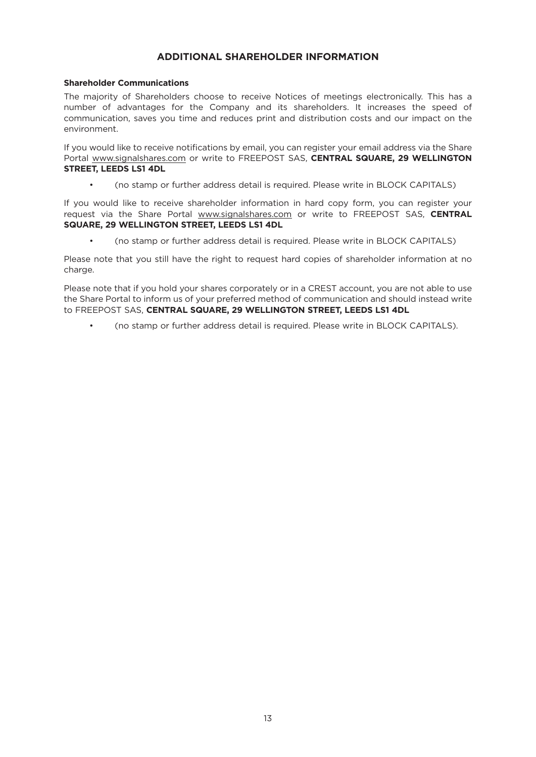# **ADDITIONAL SHAREHOLDER INFORMATION**

#### **Shareholder Communications**

The majority of Shareholders choose to receive Notices of meetings electronically. This has a number of advantages for the Company and its shareholders. It increases the speed of communication, saves you time and reduces print and distribution costs and our impact on the environment.

If you would like to receive notifications by email, you can register your email address via the Share Portal www.signalshares.com or write to FREEPOST SAS, **CENTRAL SQUARE, 29 WELLINGTON STREET, LEEDS LS1 4DL**

• (no stamp or further address detail is required. Please write in BLOCK CAPITALS)

If you would like to receive shareholder information in hard copy form, you can register your request via the Share Portal www.signalshares.com or write to FREEPOST SAS, **CENTRAL SQUARE, 29 WELLINGTON STREET, LEEDS LS1 4DL**

• (no stamp or further address detail is required. Please write in BLOCK CAPITALS)

Please note that you still have the right to request hard copies of shareholder information at no charge.

Please note that if you hold your shares corporately or in a CREST account, you are not able to use the Share Portal to inform us of your preferred method of communication and should instead write to FREEPOST SAS, **CENTRAL SQUARE, 29 WELLINGTON STREET, LEEDS LS1 4DL**

• (no stamp or further address detail is required. Please write in BLOCK CAPITALS).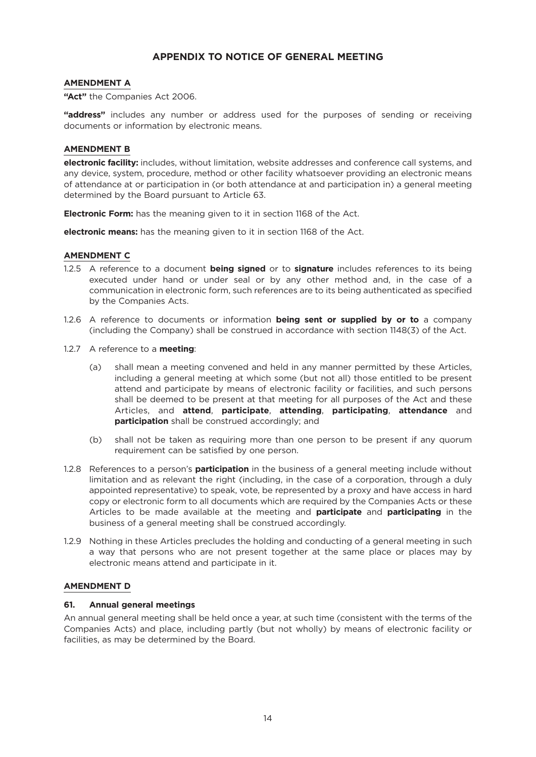# **APPENDIX TO NOTICE OF GENERAL MEETING**

## **AMENDMENT A**

**"Act"** the Companies Act 2006.

**"address"** includes any number or address used for the purposes of sending or receiving documents or information by electronic means.

## **AMENDMENT B**

**electronic facility:** includes, without limitation, website addresses and conference call systems, and any device, system, procedure, method or other facility whatsoever providing an electronic means of attendance at or participation in (or both attendance at and participation in) a general meeting determined by the Board pursuant to Article 63.

**Electronic Form:** has the meaning given to it in section 1168 of the Act.

**electronic means:** has the meaning given to it in section 1168 of the Act.

### **AMENDMENT C**

- 1.2.5 A reference to a document **being signed** or to **signature** includes references to its being executed under hand or under seal or by any other method and, in the case of a communication in electronic form, such references are to its being authenticated as specified by the Companies Acts.
- 1.2.6 A reference to documents or information **being sent or supplied by or to** a company (including the Company) shall be construed in accordance with section 1148(3) of the Act.
- 1.2.7 A reference to a **meeting**:
	- (a) shall mean a meeting convened and held in any manner permitted by these Articles, including a general meeting at which some (but not all) those entitled to be present attend and participate by means of electronic facility or facilities, and such persons shall be deemed to be present at that meeting for all purposes of the Act and these Articles, and **attend**, **participate**, **attending**, **participating**, **attendance** and **participation** shall be construed accordingly; and
	- (b) shall not be taken as requiring more than one person to be present if any quorum requirement can be satisfied by one person.
- 1.2.8 References to a person's **participation** in the business of a general meeting include without limitation and as relevant the right (including, in the case of a corporation, through a duly appointed representative) to speak, vote, be represented by a proxy and have access in hard copy or electronic form to all documents which are required by the Companies Acts or these Articles to be made available at the meeting and **participate** and **participating** in the business of a general meeting shall be construed accordingly.
- 1.2.9 Nothing in these Articles precludes the holding and conducting of a general meeting in such a way that persons who are not present together at the same place or places may by electronic means attend and participate in it.

# **AMENDMENT D**

#### **61. Annual general meetings**

An annual general meeting shall be held once a year, at such time (consistent with the terms of the Companies Acts) and place, including partly (but not wholly) by means of electronic facility or facilities, as may be determined by the Board.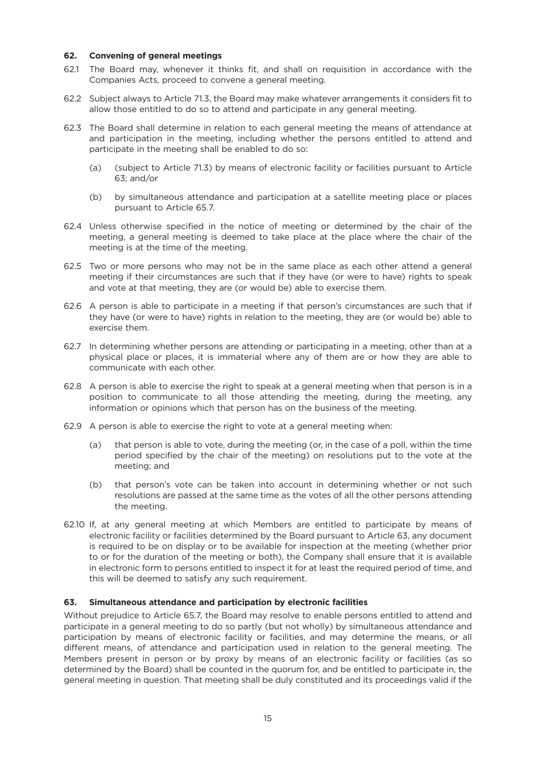## **62. Convening of general meetings**

- 62.1 The Board may, whenever it thinks fit, and shall on requisition in accordance with the Companies Acts, proceed to convene a general meeting.
- 62.2 Subject always to Article 71.3, the Board may make whatever arrangements it considers fit to allow those entitled to do so to attend and participate in any general meeting.
- 62.3 The Board shall determine in relation to each general meeting the means of attendance at and participation in the meeting, including whether the persons entitled to attend and participate in the meeting shall be enabled to do so:
	- (a) (subject to Article 71.3) by means of electronic facility or facilities pursuant to Article 63; and/or
	- (b) by simultaneous attendance and participation at a satellite meeting place or places pursuant to Article 65.7.
- 62.4 Unless otherwise specified in the notice of meeting or determined by the chair of the meeting, a general meeting is deemed to take place at the place where the chair of the meeting is at the time of the meeting.
- 62.5 Two or more persons who may not be in the same place as each other attend a general meeting if their circumstances are such that if they have (or were to have) rights to speak and vote at that meeting, they are (or would be) able to exercise them.
- 62.6 A person is able to participate in a meeting if that person's circumstances are such that if they have (or were to have) rights in relation to the meeting, they are (or would be) able to exercise them.
- 62.7 In determining whether persons are attending or participating in a meeting, other than at a physical place or places, it is immaterial where any of them are or how they are able to communicate with each other.
- 62.8 A person is able to exercise the right to speak at a general meeting when that person is in a position to communicate to all those attending the meeting, during the meeting, any information or opinions which that person has on the business of the meeting.
- 62.9 A person is able to exercise the right to vote at a general meeting when:
	- (a) that person is able to vote, during the meeting (or, in the case of a poll, within the time period specified by the chair of the meeting) on resolutions put to the vote at the meeting; and
	- (b) that person's vote can be taken into account in determining whether or not such resolutions are passed at the same time as the votes of all the other persons attending the meeting.
- 62.10 If, at any general meeting at which Members are entitled to participate by means of electronic facility or facilities determined by the Board pursuant to Article 63, any document is required to be on display or to be available for inspection at the meeting (whether prior to or for the duration of the meeting or both), the Company shall ensure that it is available in electronic form to persons entitled to inspect it for at least the required period of time, and this will be deemed to satisfy any such requirement.

#### **63. Simultaneous attendance and participation by electronic facilities**

Without prejudice to Article 65.7, the Board may resolve to enable persons entitled to attend and participate in a general meeting to do so partly (but not wholly) by simultaneous attendance and participation by means of electronic facility or facilities, and may determine the means, or all different means, of attendance and participation used in relation to the general meeting. The Members present in person or by proxy by means of an electronic facility or facilities (as so determined by the Board) shall be counted in the quorum for, and be entitled to participate in, the general meeting in question. That meeting shall be duly constituted and its proceedings valid if the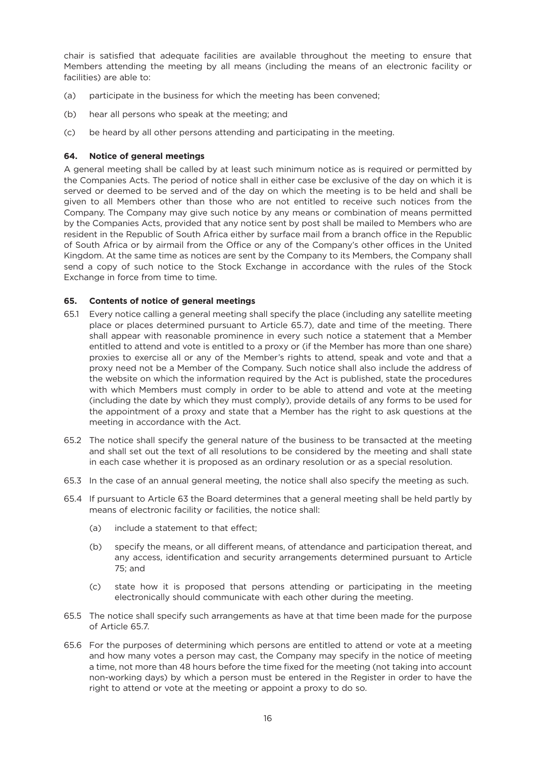chair is satisfied that adequate facilities are available throughout the meeting to ensure that Members attending the meeting by all means (including the means of an electronic facility or facilities) are able to:

- (a) participate in the business for which the meeting has been convened;
- (b) hear all persons who speak at the meeting; and
- (c) be heard by all other persons attending and participating in the meeting.

## **64. Notice of general meetings**

A general meeting shall be called by at least such minimum notice as is required or permitted by the Companies Acts. The period of notice shall in either case be exclusive of the day on which it is served or deemed to be served and of the day on which the meeting is to be held and shall be given to all Members other than those who are not entitled to receive such notices from the Company. The Company may give such notice by any means or combination of means permitted by the Companies Acts, provided that any notice sent by post shall be mailed to Members who are resident in the Republic of South Africa either by surface mail from a branch office in the Republic of South Africa or by airmail from the Office or any of the Company's other offices in the United Kingdom. At the same time as notices are sent by the Company to its Members, the Company shall send a copy of such notice to the Stock Exchange in accordance with the rules of the Stock Exchange in force from time to time.

### **65. Contents of notice of general meetings**

- 65.1 Every notice calling a general meeting shall specify the place (including any satellite meeting place or places determined pursuant to Article 65.7), date and time of the meeting. There shall appear with reasonable prominence in every such notice a statement that a Member entitled to attend and vote is entitled to a proxy or (if the Member has more than one share) proxies to exercise all or any of the Member's rights to attend, speak and vote and that a proxy need not be a Member of the Company. Such notice shall also include the address of the website on which the information required by the Act is published, state the procedures with which Members must comply in order to be able to attend and vote at the meeting (including the date by which they must comply), provide details of any forms to be used for the appointment of a proxy and state that a Member has the right to ask questions at the meeting in accordance with the Act.
- 65.2 The notice shall specify the general nature of the business to be transacted at the meeting and shall set out the text of all resolutions to be considered by the meeting and shall state in each case whether it is proposed as an ordinary resolution or as a special resolution.
- 65.3 In the case of an annual general meeting, the notice shall also specify the meeting as such.
- 65.4 If pursuant to Article 63 the Board determines that a general meeting shall be held partly by means of electronic facility or facilities, the notice shall:
	- (a) include a statement to that effect;
	- (b) specify the means, or all different means, of attendance and participation thereat, and any access, identification and security arrangements determined pursuant to Article 75; and
	- (c) state how it is proposed that persons attending or participating in the meeting electronically should communicate with each other during the meeting.
- 65.5 The notice shall specify such arrangements as have at that time been made for the purpose of Article 65.7.
- 65.6 For the purposes of determining which persons are entitled to attend or vote at a meeting and how many votes a person may cast, the Company may specify in the notice of meeting a time, not more than 48 hours before the time fixed for the meeting (not taking into account non-working days) by which a person must be entered in the Register in order to have the right to attend or vote at the meeting or appoint a proxy to do so.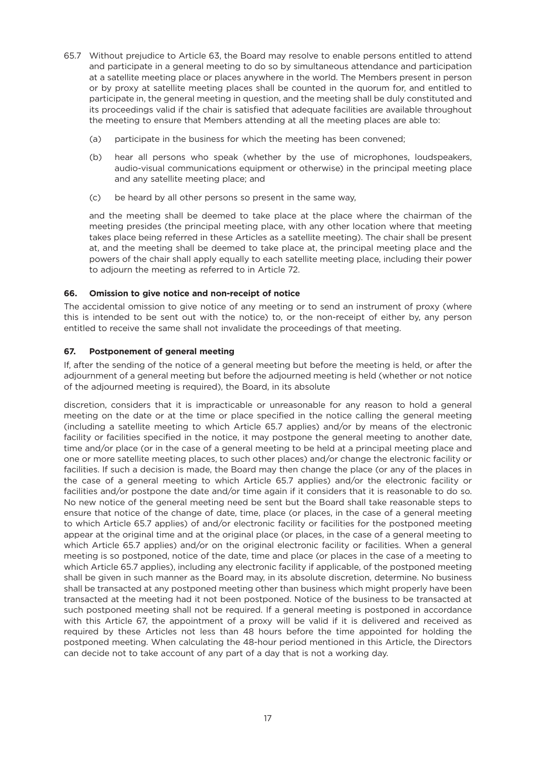- 65.7 Without prejudice to Article 63, the Board may resolve to enable persons entitled to attend and participate in a general meeting to do so by simultaneous attendance and participation at a satellite meeting place or places anywhere in the world. The Members present in person or by proxy at satellite meeting places shall be counted in the quorum for, and entitled to participate in, the general meeting in question, and the meeting shall be duly constituted and its proceedings valid if the chair is satisfied that adequate facilities are available throughout the meeting to ensure that Members attending at all the meeting places are able to:
	- (a) participate in the business for which the meeting has been convened;
	- (b) hear all persons who speak (whether by the use of microphones, loudspeakers, audio-visual communications equipment or otherwise) in the principal meeting place and any satellite meeting place; and
	- (c) be heard by all other persons so present in the same way,

and the meeting shall be deemed to take place at the place where the chairman of the meeting presides (the principal meeting place, with any other location where that meeting takes place being referred in these Articles as a satellite meeting). The chair shall be present at, and the meeting shall be deemed to take place at, the principal meeting place and the powers of the chair shall apply equally to each satellite meeting place, including their power to adjourn the meeting as referred to in Article 72.

### **66. Omission to give notice and non-receipt of notice**

The accidental omission to give notice of any meeting or to send an instrument of proxy (where this is intended to be sent out with the notice) to, or the non-receipt of either by, any person entitled to receive the same shall not invalidate the proceedings of that meeting.

### **67. Postponement of general meeting**

If, after the sending of the notice of a general meeting but before the meeting is held, or after the adjournment of a general meeting but before the adjourned meeting is held (whether or not notice of the adjourned meeting is required), the Board, in its absolute

discretion, considers that it is impracticable or unreasonable for any reason to hold a general meeting on the date or at the time or place specified in the notice calling the general meeting (including a satellite meeting to which Article 65.7 applies) and/or by means of the electronic facility or facilities specified in the notice, it may postpone the general meeting to another date, time and/or place (or in the case of a general meeting to be held at a principal meeting place and one or more satellite meeting places, to such other places) and/or change the electronic facility or facilities. If such a decision is made, the Board may then change the place (or any of the places in the case of a general meeting to which Article 65.7 applies) and/or the electronic facility or facilities and/or postpone the date and/or time again if it considers that it is reasonable to do so. No new notice of the general meeting need be sent but the Board shall take reasonable steps to ensure that notice of the change of date, time, place (or places, in the case of a general meeting to which Article 65.7 applies) of and/or electronic facility or facilities for the postponed meeting appear at the original time and at the original place (or places, in the case of a general meeting to which Article 65.7 applies) and/or on the original electronic facility or facilities. When a general meeting is so postponed, notice of the date, time and place (or places in the case of a meeting to which Article 65.7 applies), including any electronic facility if applicable, of the postponed meeting shall be given in such manner as the Board may, in its absolute discretion, determine. No business shall be transacted at any postponed meeting other than business which might properly have been transacted at the meeting had it not been postponed. Notice of the business to be transacted at such postponed meeting shall not be required. If a general meeting is postponed in accordance with this Article 67, the appointment of a proxy will be valid if it is delivered and received as required by these Articles not less than 48 hours before the time appointed for holding the postponed meeting. When calculating the 48-hour period mentioned in this Article, the Directors can decide not to take account of any part of a day that is not a working day.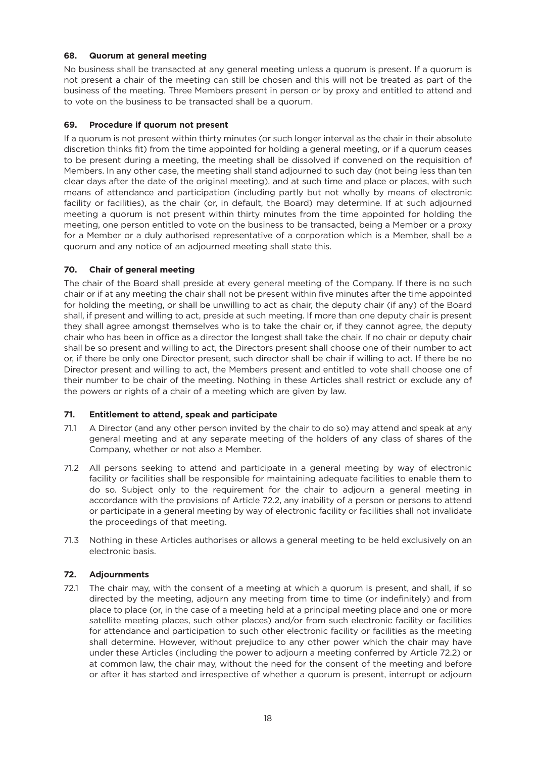## **68. Quorum at general meeting**

No business shall be transacted at any general meeting unless a quorum is present. If a quorum is not present a chair of the meeting can still be chosen and this will not be treated as part of the business of the meeting. Three Members present in person or by proxy and entitled to attend and to vote on the business to be transacted shall be a quorum.

# **69. Procedure if quorum not present**

If a quorum is not present within thirty minutes (or such longer interval as the chair in their absolute discretion thinks fit) from the time appointed for holding a general meeting, or if a quorum ceases to be present during a meeting, the meeting shall be dissolved if convened on the requisition of Members. In any other case, the meeting shall stand adjourned to such day (not being less than ten clear days after the date of the original meeting), and at such time and place or places, with such means of attendance and participation (including partly but not wholly by means of electronic facility or facilities), as the chair (or, in default, the Board) may determine. If at such adjourned meeting a quorum is not present within thirty minutes from the time appointed for holding the meeting, one person entitled to vote on the business to be transacted, being a Member or a proxy for a Member or a duly authorised representative of a corporation which is a Member, shall be a quorum and any notice of an adjourned meeting shall state this.

### **70. Chair of general meeting**

The chair of the Board shall preside at every general meeting of the Company. If there is no such chair or if at any meeting the chair shall not be present within five minutes after the time appointed for holding the meeting, or shall be unwilling to act as chair, the deputy chair (if any) of the Board shall, if present and willing to act, preside at such meeting. If more than one deputy chair is present they shall agree amongst themselves who is to take the chair or, if they cannot agree, the deputy chair who has been in office as a director the longest shall take the chair. If no chair or deputy chair shall be so present and willing to act, the Directors present shall choose one of their number to act or, if there be only one Director present, such director shall be chair if willing to act. If there be no Director present and willing to act, the Members present and entitled to vote shall choose one of their number to be chair of the meeting. Nothing in these Articles shall restrict or exclude any of the powers or rights of a chair of a meeting which are given by law.

# **71. Entitlement to attend, speak and participate**

- 71.1 A Director (and any other person invited by the chair to do so) may attend and speak at any general meeting and at any separate meeting of the holders of any class of shares of the Company, whether or not also a Member.
- 71.2 All persons seeking to attend and participate in a general meeting by way of electronic facility or facilities shall be responsible for maintaining adequate facilities to enable them to do so. Subject only to the requirement for the chair to adjourn a general meeting in accordance with the provisions of Article 72.2, any inability of a person or persons to attend or participate in a general meeting by way of electronic facility or facilities shall not invalidate the proceedings of that meeting.
- 71.3 Nothing in these Articles authorises or allows a general meeting to be held exclusively on an electronic basis.

# **72. Adjournments**

72.1 The chair may, with the consent of a meeting at which a quorum is present, and shall, if so directed by the meeting, adjourn any meeting from time to time (or indefinitely) and from place to place (or, in the case of a meeting held at a principal meeting place and one or more satellite meeting places, such other places) and/or from such electronic facility or facilities for attendance and participation to such other electronic facility or facilities as the meeting shall determine. However, without prejudice to any other power which the chair may have under these Articles (including the power to adjourn a meeting conferred by Article 72.2) or at common law, the chair may, without the need for the consent of the meeting and before or after it has started and irrespective of whether a quorum is present, interrupt or adjourn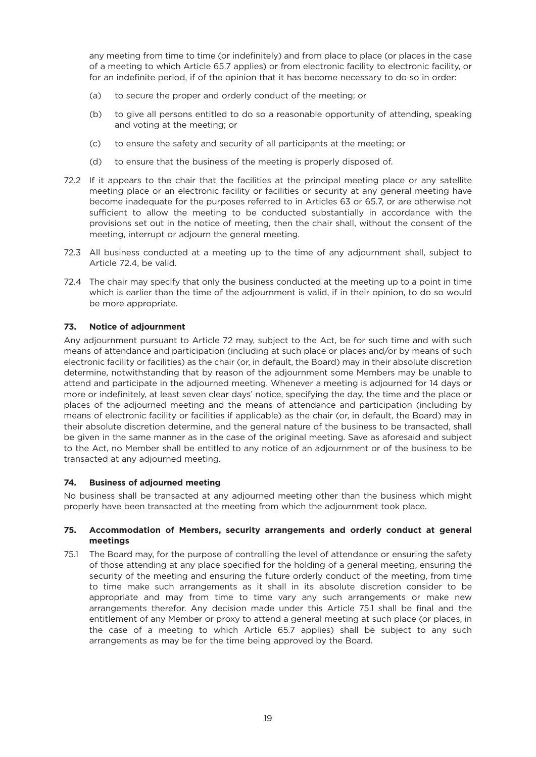any meeting from time to time (or indefinitely) and from place to place (or places in the case of a meeting to which Article 65.7 applies) or from electronic facility to electronic facility, or for an indefinite period, if of the opinion that it has become necessary to do so in order:

- (a) to secure the proper and orderly conduct of the meeting; or
- (b) to give all persons entitled to do so a reasonable opportunity of attending, speaking and voting at the meeting; or
- (c) to ensure the safety and security of all participants at the meeting; or
- (d) to ensure that the business of the meeting is properly disposed of.
- 72.2 If it appears to the chair that the facilities at the principal meeting place or any satellite meeting place or an electronic facility or facilities or security at any general meeting have become inadequate for the purposes referred to in Articles 63 or 65.7, or are otherwise not sufficient to allow the meeting to be conducted substantially in accordance with the provisions set out in the notice of meeting, then the chair shall, without the consent of the meeting, interrupt or adjourn the general meeting.
- 72.3 All business conducted at a meeting up to the time of any adjournment shall, subject to Article 72.4, be valid.
- 72.4 The chair may specify that only the business conducted at the meeting up to a point in time which is earlier than the time of the adjournment is valid, if in their opinion, to do so would be more appropriate.

### **73. Notice of adjournment**

Any adjournment pursuant to Article 72 may, subject to the Act, be for such time and with such means of attendance and participation (including at such place or places and/or by means of such electronic facility or facilities) as the chair (or, in default, the Board) may in their absolute discretion determine, notwithstanding that by reason of the adjournment some Members may be unable to attend and participate in the adjourned meeting. Whenever a meeting is adjourned for 14 days or more or indefinitely, at least seven clear days' notice, specifying the day, the time and the place or places of the adjourned meeting and the means of attendance and participation (including by means of electronic facility or facilities if applicable) as the chair (or, in default, the Board) may in their absolute discretion determine, and the general nature of the business to be transacted, shall be given in the same manner as in the case of the original meeting. Save as aforesaid and subject to the Act, no Member shall be entitled to any notice of an adjournment or of the business to be transacted at any adjourned meeting.

#### **74. Business of adjourned meeting**

No business shall be transacted at any adjourned meeting other than the business which might properly have been transacted at the meeting from which the adjournment took place.

### **75. Accommodation of Members, security arrangements and orderly conduct at general meetings**

75.1 The Board may, for the purpose of controlling the level of attendance or ensuring the safety of those attending at any place specified for the holding of a general meeting, ensuring the security of the meeting and ensuring the future orderly conduct of the meeting, from time to time make such arrangements as it shall in its absolute discretion consider to be appropriate and may from time to time vary any such arrangements or make new arrangements therefor. Any decision made under this Article 75.1 shall be final and the entitlement of any Member or proxy to attend a general meeting at such place (or places, in the case of a meeting to which Article 65.7 applies) shall be subject to any such arrangements as may be for the time being approved by the Board.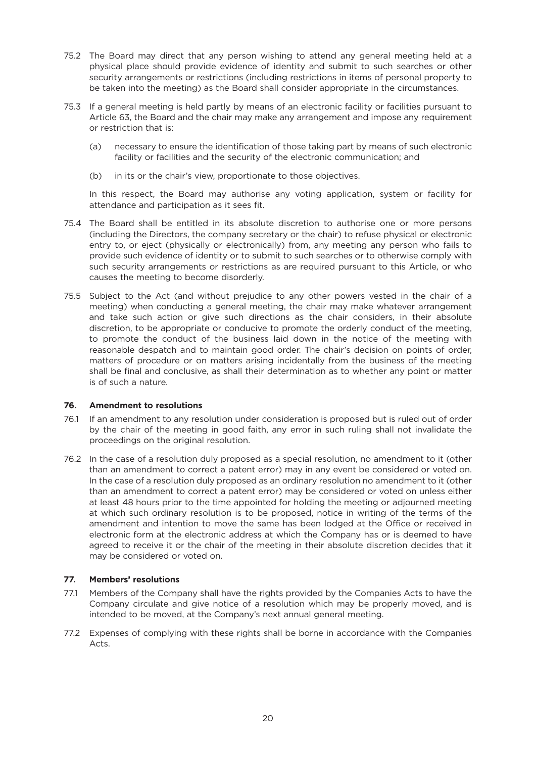- 75.2 The Board may direct that any person wishing to attend any general meeting held at a physical place should provide evidence of identity and submit to such searches or other security arrangements or restrictions (including restrictions in items of personal property to be taken into the meeting) as the Board shall consider appropriate in the circumstances.
- 75.3 If a general meeting is held partly by means of an electronic facility or facilities pursuant to Article 63, the Board and the chair may make any arrangement and impose any requirement or restriction that is:
	- (a) necessary to ensure the identification of those taking part by means of such electronic facility or facilities and the security of the electronic communication; and
	- (b) in its or the chair's view, proportionate to those objectives.

In this respect, the Board may authorise any voting application, system or facility for attendance and participation as it sees fit.

- 75.4 The Board shall be entitled in its absolute discretion to authorise one or more persons (including the Directors, the company secretary or the chair) to refuse physical or electronic entry to, or eject (physically or electronically) from, any meeting any person who fails to provide such evidence of identity or to submit to such searches or to otherwise comply with such security arrangements or restrictions as are required pursuant to this Article, or who causes the meeting to become disorderly.
- 75.5 Subject to the Act (and without prejudice to any other powers vested in the chair of a meeting) when conducting a general meeting, the chair may make whatever arrangement and take such action or give such directions as the chair considers, in their absolute discretion, to be appropriate or conducive to promote the orderly conduct of the meeting, to promote the conduct of the business laid down in the notice of the meeting with reasonable despatch and to maintain good order. The chair's decision on points of order, matters of procedure or on matters arising incidentally from the business of the meeting shall be final and conclusive, as shall their determination as to whether any point or matter is of such a nature.

# **76. Amendment to resolutions**

- 76.1 If an amendment to any resolution under consideration is proposed but is ruled out of order by the chair of the meeting in good faith, any error in such ruling shall not invalidate the proceedings on the original resolution.
- 76.2 In the case of a resolution duly proposed as a special resolution, no amendment to it (other than an amendment to correct a patent error) may in any event be considered or voted on. In the case of a resolution duly proposed as an ordinary resolution no amendment to it (other than an amendment to correct a patent error) may be considered or voted on unless either at least 48 hours prior to the time appointed for holding the meeting or adjourned meeting at which such ordinary resolution is to be proposed, notice in writing of the terms of the amendment and intention to move the same has been lodged at the Office or received in electronic form at the electronic address at which the Company has or is deemed to have agreed to receive it or the chair of the meeting in their absolute discretion decides that it may be considered or voted on.

# **77. Members' resolutions**

- 77.1 Members of the Company shall have the rights provided by the Companies Acts to have the Company circulate and give notice of a resolution which may be properly moved, and is intended to be moved, at the Company's next annual general meeting.
- 77.2 Expenses of complying with these rights shall be borne in accordance with the Companies Acts.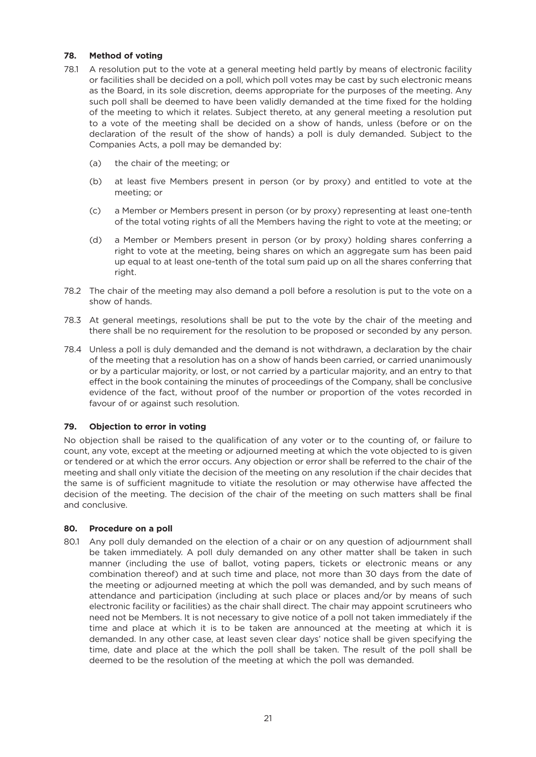# **78. Method of voting**

- 78.1 A resolution put to the vote at a general meeting held partly by means of electronic facility or facilities shall be decided on a poll, which poll votes may be cast by such electronic means as the Board, in its sole discretion, deems appropriate for the purposes of the meeting. Any such poll shall be deemed to have been validly demanded at the time fixed for the holding of the meeting to which it relates. Subject thereto, at any general meeting a resolution put to a vote of the meeting shall be decided on a show of hands, unless (before or on the declaration of the result of the show of hands) a poll is duly demanded. Subject to the Companies Acts, a poll may be demanded by:
	- (a) the chair of the meeting; or
	- (b) at least five Members present in person (or by proxy) and entitled to vote at the meeting; or
	- (c) a Member or Members present in person (or by proxy) representing at least one-tenth of the total voting rights of all the Members having the right to vote at the meeting; or
	- (d) a Member or Members present in person (or by proxy) holding shares conferring a right to vote at the meeting, being shares on which an aggregate sum has been paid up equal to at least one-tenth of the total sum paid up on all the shares conferring that right.
- 78.2 The chair of the meeting may also demand a poll before a resolution is put to the vote on a show of hands.
- 78.3 At general meetings, resolutions shall be put to the vote by the chair of the meeting and there shall be no requirement for the resolution to be proposed or seconded by any person.
- 78.4 Unless a poll is duly demanded and the demand is not withdrawn, a declaration by the chair of the meeting that a resolution has on a show of hands been carried, or carried unanimously or by a particular majority, or lost, or not carried by a particular majority, and an entry to that effect in the book containing the minutes of proceedings of the Company, shall be conclusive evidence of the fact, without proof of the number or proportion of the votes recorded in favour of or against such resolution.

#### **79. Objection to error in voting**

No objection shall be raised to the qualification of any voter or to the counting of, or failure to count, any vote, except at the meeting or adjourned meeting at which the vote objected to is given or tendered or at which the error occurs. Any objection or error shall be referred to the chair of the meeting and shall only vitiate the decision of the meeting on any resolution if the chair decides that the same is of sufficient magnitude to vitiate the resolution or may otherwise have affected the decision of the meeting. The decision of the chair of the meeting on such matters shall be final and conclusive.

#### **80. Procedure on a poll**

80.1 Any poll duly demanded on the election of a chair or on any question of adjournment shall be taken immediately. A poll duly demanded on any other matter shall be taken in such manner (including the use of ballot, voting papers, tickets or electronic means or any combination thereof) and at such time and place, not more than 30 days from the date of the meeting or adjourned meeting at which the poll was demanded, and by such means of attendance and participation (including at such place or places and/or by means of such electronic facility or facilities) as the chair shall direct. The chair may appoint scrutineers who need not be Members. It is not necessary to give notice of a poll not taken immediately if the time and place at which it is to be taken are announced at the meeting at which it is demanded. In any other case, at least seven clear days' notice shall be given specifying the time, date and place at the which the poll shall be taken. The result of the poll shall be deemed to be the resolution of the meeting at which the poll was demanded.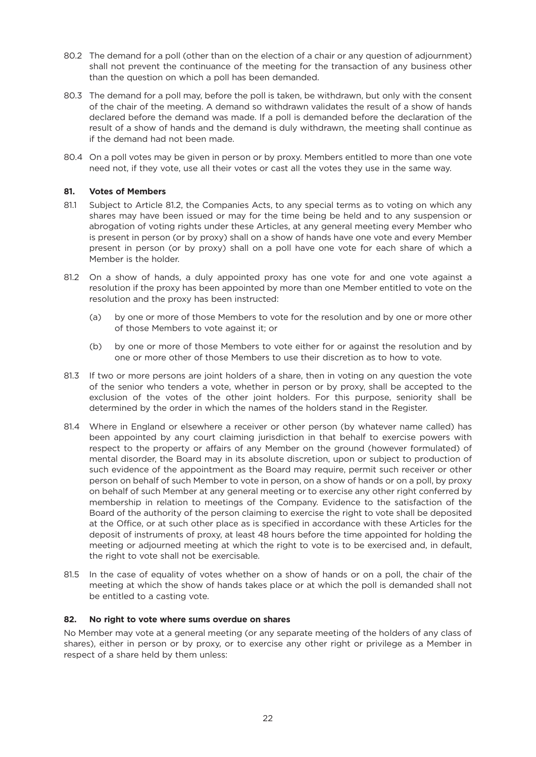- 80.2 The demand for a poll (other than on the election of a chair or any question of adjournment) shall not prevent the continuance of the meeting for the transaction of any business other than the question on which a poll has been demanded.
- 80.3 The demand for a poll may, before the poll is taken, be withdrawn, but only with the consent of the chair of the meeting. A demand so withdrawn validates the result of a show of hands declared before the demand was made. If a poll is demanded before the declaration of the result of a show of hands and the demand is duly withdrawn, the meeting shall continue as if the demand had not been made.
- 80.4 On a poll votes may be given in person or by proxy. Members entitled to more than one vote need not, if they vote, use all their votes or cast all the votes they use in the same way.

## **81. Votes of Members**

- 81.1 Subject to Article 81.2, the Companies Acts, to any special terms as to voting on which any shares may have been issued or may for the time being be held and to any suspension or abrogation of voting rights under these Articles, at any general meeting every Member who is present in person (or by proxy) shall on a show of hands have one vote and every Member present in person (or by proxy) shall on a poll have one vote for each share of which a Member is the holder.
- 81.2 On a show of hands, a duly appointed proxy has one vote for and one vote against a resolution if the proxy has been appointed by more than one Member entitled to vote on the resolution and the proxy has been instructed:
	- (a) by one or more of those Members to vote for the resolution and by one or more other of those Members to vote against it; or
	- (b) by one or more of those Members to vote either for or against the resolution and by one or more other of those Members to use their discretion as to how to vote.
- 81.3 If two or more persons are joint holders of a share, then in voting on any question the vote of the senior who tenders a vote, whether in person or by proxy, shall be accepted to the exclusion of the votes of the other joint holders. For this purpose, seniority shall be determined by the order in which the names of the holders stand in the Register.
- 81.4 Where in England or elsewhere a receiver or other person (by whatever name called) has been appointed by any court claiming jurisdiction in that behalf to exercise powers with respect to the property or affairs of any Member on the ground (however formulated) of mental disorder, the Board may in its absolute discretion, upon or subject to production of such evidence of the appointment as the Board may require, permit such receiver or other person on behalf of such Member to vote in person, on a show of hands or on a poll, by proxy on behalf of such Member at any general meeting or to exercise any other right conferred by membership in relation to meetings of the Company. Evidence to the satisfaction of the Board of the authority of the person claiming to exercise the right to vote shall be deposited at the Office, or at such other place as is specified in accordance with these Articles for the deposit of instruments of proxy, at least 48 hours before the time appointed for holding the meeting or adjourned meeting at which the right to vote is to be exercised and, in default, the right to vote shall not be exercisable.
- 81.5 In the case of equality of votes whether on a show of hands or on a poll, the chair of the meeting at which the show of hands takes place or at which the poll is demanded shall not be entitled to a casting vote.

#### **82. No right to vote where sums overdue on shares**

No Member may vote at a general meeting (or any separate meeting of the holders of any class of shares), either in person or by proxy, or to exercise any other right or privilege as a Member in respect of a share held by them unless: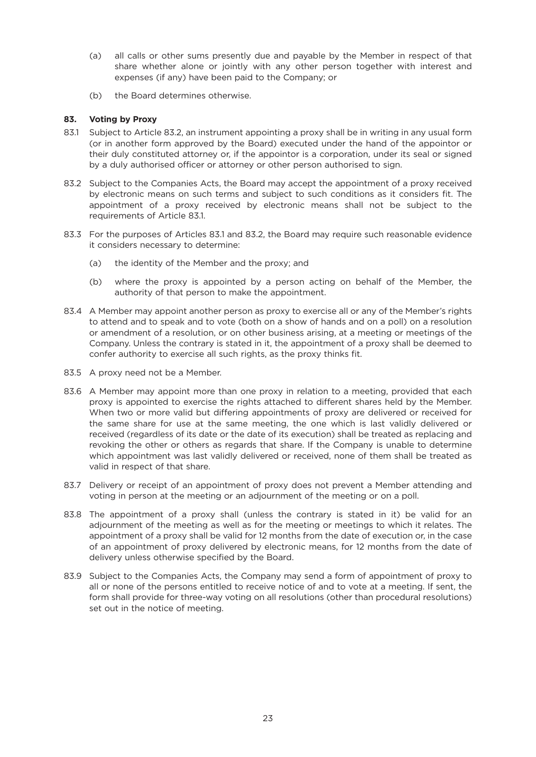- (a) all calls or other sums presently due and payable by the Member in respect of that share whether alone or jointly with any other person together with interest and expenses (if any) have been paid to the Company; or
- (b) the Board determines otherwise.

## **83. Voting by Proxy**

- 83.1 Subject to Article 83.2, an instrument appointing a proxy shall be in writing in any usual form (or in another form approved by the Board) executed under the hand of the appointor or their duly constituted attorney or, if the appointor is a corporation, under its seal or signed by a duly authorised officer or attorney or other person authorised to sign.
- 83.2 Subject to the Companies Acts, the Board may accept the appointment of a proxy received by electronic means on such terms and subject to such conditions as it considers fit. The appointment of a proxy received by electronic means shall not be subject to the requirements of Article 83.1.
- 83.3 For the purposes of Articles 83.1 and 83.2, the Board may require such reasonable evidence it considers necessary to determine:
	- (a) the identity of the Member and the proxy; and
	- (b) where the proxy is appointed by a person acting on behalf of the Member, the authority of that person to make the appointment.
- 83.4 A Member may appoint another person as proxy to exercise all or any of the Member's rights to attend and to speak and to vote (both on a show of hands and on a poll) on a resolution or amendment of a resolution, or on other business arising, at a meeting or meetings of the Company. Unless the contrary is stated in it, the appointment of a proxy shall be deemed to confer authority to exercise all such rights, as the proxy thinks fit.
- 83.5 A proxy need not be a Member.
- 83.6 A Member may appoint more than one proxy in relation to a meeting, provided that each proxy is appointed to exercise the rights attached to different shares held by the Member. When two or more valid but differing appointments of proxy are delivered or received for the same share for use at the same meeting, the one which is last validly delivered or received (regardless of its date or the date of its execution) shall be treated as replacing and revoking the other or others as regards that share. If the Company is unable to determine which appointment was last validly delivered or received, none of them shall be treated as valid in respect of that share.
- 83.7 Delivery or receipt of an appointment of proxy does not prevent a Member attending and voting in person at the meeting or an adjournment of the meeting or on a poll.
- 83.8 The appointment of a proxy shall (unless the contrary is stated in it) be valid for an adjournment of the meeting as well as for the meeting or meetings to which it relates. The appointment of a proxy shall be valid for 12 months from the date of execution or, in the case of an appointment of proxy delivered by electronic means, for 12 months from the date of delivery unless otherwise specified by the Board.
- 83.9 Subject to the Companies Acts, the Company may send a form of appointment of proxy to all or none of the persons entitled to receive notice of and to vote at a meeting. If sent, the form shall provide for three-way voting on all resolutions (other than procedural resolutions) set out in the notice of meeting.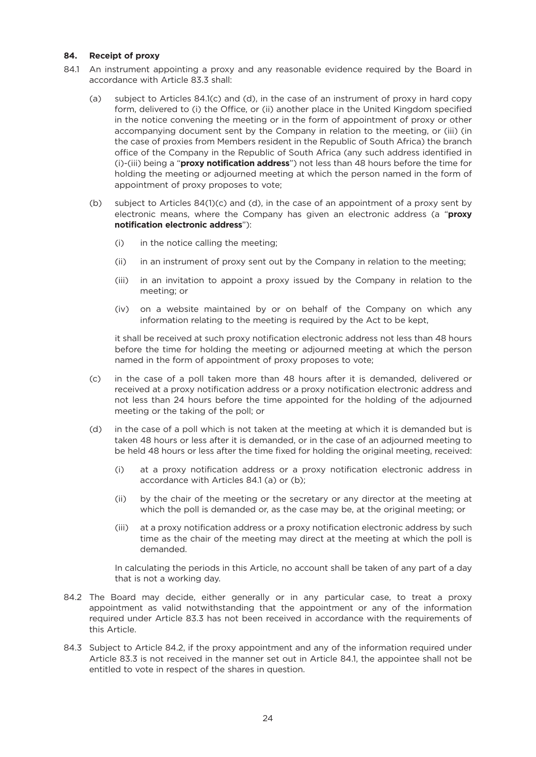#### **84. Receipt of proxy**

- 84.1 An instrument appointing a proxy and any reasonable evidence required by the Board in accordance with Article 83.3 shall:
	- (a) subject to Articles 84.1(c) and (d), in the case of an instrument of proxy in hard copy form, delivered to (i) the Office, or (ii) another place in the United Kingdom specified in the notice convening the meeting or in the form of appointment of proxy or other accompanying document sent by the Company in relation to the meeting, or (iii) (in the case of proxies from Members resident in the Republic of South Africa) the branch office of the Company in the Republic of South Africa (any such address identified in (i)-(iii) being a "**proxy notification address**") not less than 48 hours before the time for holding the meeting or adjourned meeting at which the person named in the form of appointment of proxy proposes to vote;
	- (b) subject to Articles 84(1)(c) and (d), in the case of an appointment of a proxy sent by electronic means, where the Company has given an electronic address (a "**proxy notification electronic address**"):
		- (i) in the notice calling the meeting;
		- (ii) in an instrument of proxy sent out by the Company in relation to the meeting;
		- (iii) in an invitation to appoint a proxy issued by the Company in relation to the meeting; or
		- (iv) on a website maintained by or on behalf of the Company on which any information relating to the meeting is required by the Act to be kept,

it shall be received at such proxy notification electronic address not less than 48 hours before the time for holding the meeting or adjourned meeting at which the person named in the form of appointment of proxy proposes to vote;

- (c) in the case of a poll taken more than 48 hours after it is demanded, delivered or received at a proxy notification address or a proxy notification electronic address and not less than 24 hours before the time appointed for the holding of the adjourned meeting or the taking of the poll; or
- (d) in the case of a poll which is not taken at the meeting at which it is demanded but is taken 48 hours or less after it is demanded, or in the case of an adjourned meeting to be held 48 hours or less after the time fixed for holding the original meeting, received:
	- (i) at a proxy notification address or a proxy notification electronic address in accordance with Articles 84.1 (a) or (b);
	- (ii) by the chair of the meeting or the secretary or any director at the meeting at which the poll is demanded or, as the case may be, at the original meeting; or
	- (iii) at a proxy notification address or a proxy notification electronic address by such time as the chair of the meeting may direct at the meeting at which the poll is demanded.

In calculating the periods in this Article, no account shall be taken of any part of a day that is not a working day.

- 84.2 The Board may decide, either generally or in any particular case, to treat a proxy appointment as valid notwithstanding that the appointment or any of the information required under Article 83.3 has not been received in accordance with the requirements of this Article.
- 84.3 Subject to Article 84.2, if the proxy appointment and any of the information required under Article 83.3 is not received in the manner set out in Article 84.1, the appointee shall not be entitled to vote in respect of the shares in question.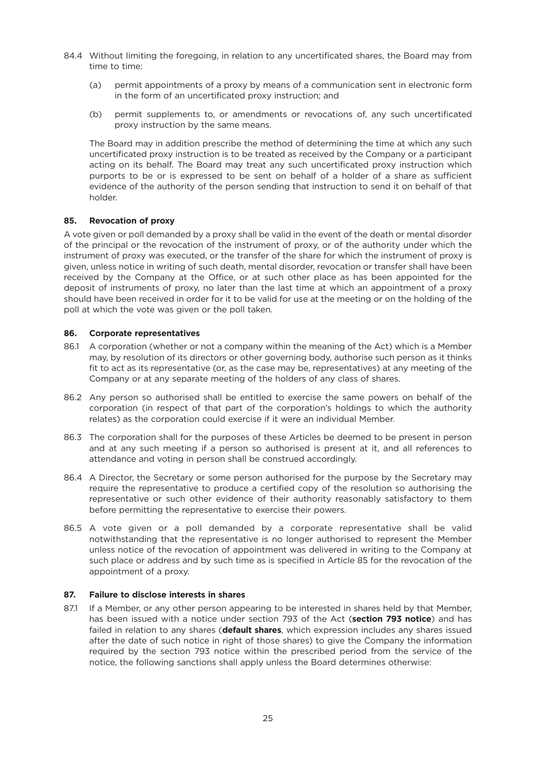- 84.4 Without limiting the foregoing, in relation to any uncertificated shares, the Board may from time to time:
	- (a) permit appointments of a proxy by means of a communication sent in electronic form in the form of an uncertificated proxy instruction; and
	- (b) permit supplements to, or amendments or revocations of, any such uncertificated proxy instruction by the same means.

The Board may in addition prescribe the method of determining the time at which any such uncertificated proxy instruction is to be treated as received by the Company or a participant acting on its behalf. The Board may treat any such uncertificated proxy instruction which purports to be or is expressed to be sent on behalf of a holder of a share as sufficient evidence of the authority of the person sending that instruction to send it on behalf of that holder.

### **85. Revocation of proxy**

A vote given or poll demanded by a proxy shall be valid in the event of the death or mental disorder of the principal or the revocation of the instrument of proxy, or of the authority under which the instrument of proxy was executed, or the transfer of the share for which the instrument of proxy is given, unless notice in writing of such death, mental disorder, revocation or transfer shall have been received by the Company at the Office, or at such other place as has been appointed for the deposit of instruments of proxy, no later than the last time at which an appointment of a proxy should have been received in order for it to be valid for use at the meeting or on the holding of the poll at which the vote was given or the poll taken.

#### **86. Corporate representatives**

- 86.1 A corporation (whether or not a company within the meaning of the Act) which is a Member may, by resolution of its directors or other governing body, authorise such person as it thinks fit to act as its representative (or, as the case may be, representatives) at any meeting of the Company or at any separate meeting of the holders of any class of shares.
- 86.2 Any person so authorised shall be entitled to exercise the same powers on behalf of the corporation (in respect of that part of the corporation's holdings to which the authority relates) as the corporation could exercise if it were an individual Member.
- 86.3 The corporation shall for the purposes of these Articles be deemed to be present in person and at any such meeting if a person so authorised is present at it, and all references to attendance and voting in person shall be construed accordingly.
- 86.4 A Director, the Secretary or some person authorised for the purpose by the Secretary may require the representative to produce a certified copy of the resolution so authorising the representative or such other evidence of their authority reasonably satisfactory to them before permitting the representative to exercise their powers.
- 86.5 A vote given or a poll demanded by a corporate representative shall be valid notwithstanding that the representative is no longer authorised to represent the Member unless notice of the revocation of appointment was delivered in writing to the Company at such place or address and by such time as is specified in Article 85 for the revocation of the appointment of a proxy.

#### **87. Failure to disclose interests in shares**

87.1 If a Member, or any other person appearing to be interested in shares held by that Member, has been issued with a notice under section 793 of the Act (**section 793 notice**) and has failed in relation to any shares (**default shares**, which expression includes any shares issued after the date of such notice in right of those shares) to give the Company the information required by the section 793 notice within the prescribed period from the service of the notice, the following sanctions shall apply unless the Board determines otherwise: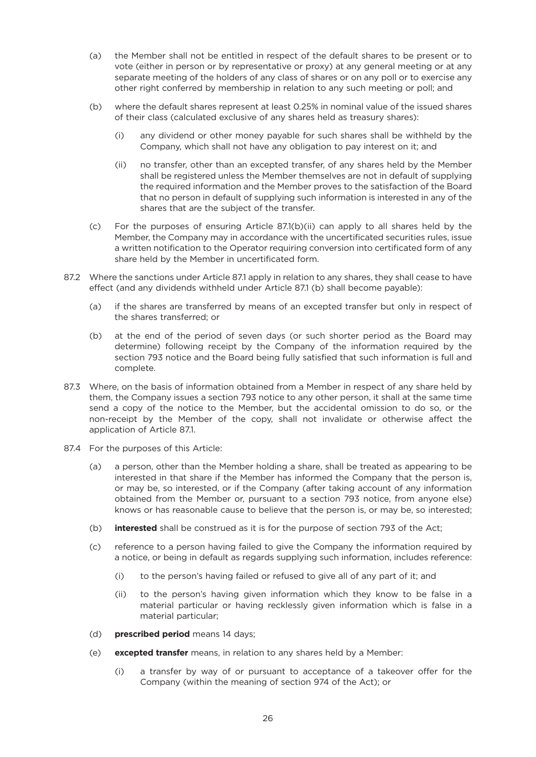- (a) the Member shall not be entitled in respect of the default shares to be present or to vote (either in person or by representative or proxy) at any general meeting or at any separate meeting of the holders of any class of shares or on any poll or to exercise any other right conferred by membership in relation to any such meeting or poll; and
- (b) where the default shares represent at least 0.25% in nominal value of the issued shares of their class (calculated exclusive of any shares held as treasury shares):
	- (i) any dividend or other money payable for such shares shall be withheld by the Company, which shall not have any obligation to pay interest on it; and
	- (ii) no transfer, other than an excepted transfer, of any shares held by the Member shall be registered unless the Member themselves are not in default of supplying the required information and the Member proves to the satisfaction of the Board that no person in default of supplying such information is interested in any of the shares that are the subject of the transfer.
- (c) For the purposes of ensuring Article 87.1(b)(ii) can apply to all shares held by the Member, the Company may in accordance with the uncertificated securities rules, issue a written notification to the Operator requiring conversion into certificated form of any share held by the Member in uncertificated form.
- 87.2 Where the sanctions under Article 87.1 apply in relation to any shares, they shall cease to have effect (and any dividends withheld under Article 87.1 (b) shall become payable):
	- (a) if the shares are transferred by means of an excepted transfer but only in respect of the shares transferred; or
	- (b) at the end of the period of seven days (or such shorter period as the Board may determine) following receipt by the Company of the information required by the section 793 notice and the Board being fully satisfied that such information is full and complete.
- 87.3 Where, on the basis of information obtained from a Member in respect of any share held by them, the Company issues a section 793 notice to any other person, it shall at the same time send a copy of the notice to the Member, but the accidental omission to do so, or the non-receipt by the Member of the copy, shall not invalidate or otherwise affect the application of Article 87.1.
- 87.4 For the purposes of this Article:
	- (a) a person, other than the Member holding a share, shall be treated as appearing to be interested in that share if the Member has informed the Company that the person is, or may be, so interested, or if the Company (after taking account of any information obtained from the Member or, pursuant to a section 793 notice, from anyone else) knows or has reasonable cause to believe that the person is, or may be, so interested;
	- (b) **interested** shall be construed as it is for the purpose of section 793 of the Act;
	- (c) reference to a person having failed to give the Company the information required by a notice, or being in default as regards supplying such information, includes reference:
		- (i) to the person's having failed or refused to give all of any part of it; and
		- (ii) to the person's having given information which they know to be false in a material particular or having recklessly given information which is false in a material particular;
	- (d) **prescribed period** means 14 days;
	- (e) **excepted transfer** means, in relation to any shares held by a Member:
		- (i) a transfer by way of or pursuant to acceptance of a takeover offer for the Company (within the meaning of section 974 of the Act); or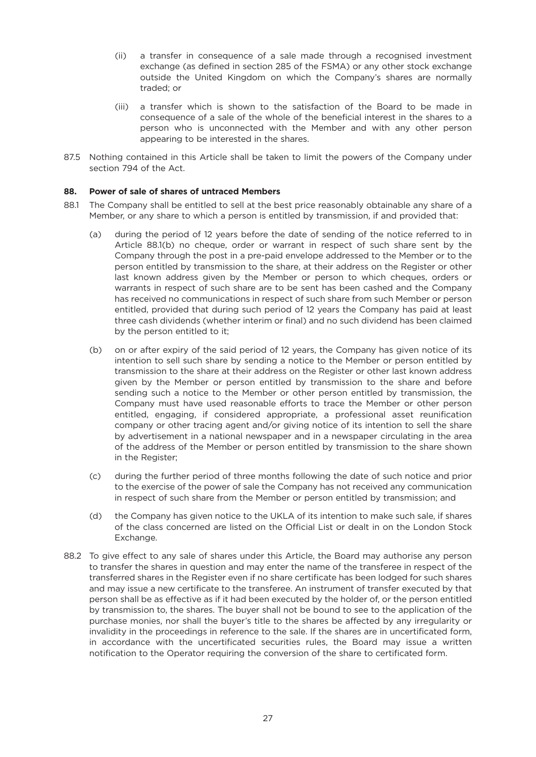- (ii) a transfer in consequence of a sale made through a recognised investment exchange (as defined in section 285 of the FSMA) or any other stock exchange outside the United Kingdom on which the Company's shares are normally traded; or
- (iii) a transfer which is shown to the satisfaction of the Board to be made in consequence of a sale of the whole of the beneficial interest in the shares to a person who is unconnected with the Member and with any other person appearing to be interested in the shares.
- 87.5 Nothing contained in this Article shall be taken to limit the powers of the Company under section 794 of the Act.

# **88. Power of sale of shares of untraced Members**

- 88.1 The Company shall be entitled to sell at the best price reasonably obtainable any share of a Member, or any share to which a person is entitled by transmission, if and provided that:
	- (a) during the period of 12 years before the date of sending of the notice referred to in Article 88.1(b) no cheque, order or warrant in respect of such share sent by the Company through the post in a pre-paid envelope addressed to the Member or to the person entitled by transmission to the share, at their address on the Register or other last known address given by the Member or person to which cheques, orders or warrants in respect of such share are to be sent has been cashed and the Company has received no communications in respect of such share from such Member or person entitled, provided that during such period of 12 years the Company has paid at least three cash dividends (whether interim or final) and no such dividend has been claimed by the person entitled to it;
	- (b) on or after expiry of the said period of 12 years, the Company has given notice of its intention to sell such share by sending a notice to the Member or person entitled by transmission to the share at their address on the Register or other last known address given by the Member or person entitled by transmission to the share and before sending such a notice to the Member or other person entitled by transmission, the Company must have used reasonable efforts to trace the Member or other person entitled, engaging, if considered appropriate, a professional asset reunification company or other tracing agent and/or giving notice of its intention to sell the share by advertisement in a national newspaper and in a newspaper circulating in the area of the address of the Member or person entitled by transmission to the share shown in the Register;
	- (c) during the further period of three months following the date of such notice and prior to the exercise of the power of sale the Company has not received any communication in respect of such share from the Member or person entitled by transmission; and
	- (d) the Company has given notice to the UKLA of its intention to make such sale, if shares of the class concerned are listed on the Official List or dealt in on the London Stock Exchange.
- 88.2 To give effect to any sale of shares under this Article, the Board may authorise any person to transfer the shares in question and may enter the name of the transferee in respect of the transferred shares in the Register even if no share certificate has been lodged for such shares and may issue a new certificate to the transferee. An instrument of transfer executed by that person shall be as effective as if it had been executed by the holder of, or the person entitled by transmission to, the shares. The buyer shall not be bound to see to the application of the purchase monies, nor shall the buyer's title to the shares be affected by any irregularity or invalidity in the proceedings in reference to the sale. If the shares are in uncertificated form, in accordance with the uncertificated securities rules, the Board may issue a written notification to the Operator requiring the conversion of the share to certificated form.